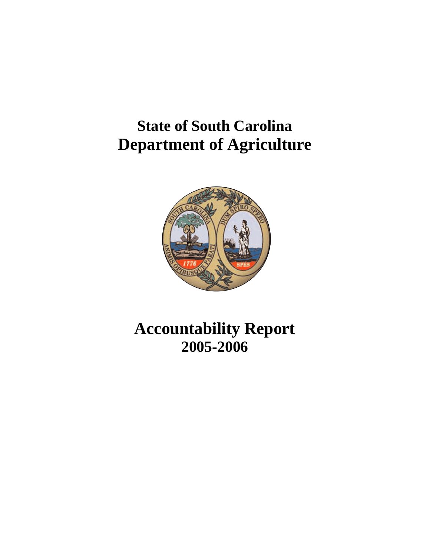# **State of South Carolina Department of Agriculture**



# **Accountability Report 2005-2006**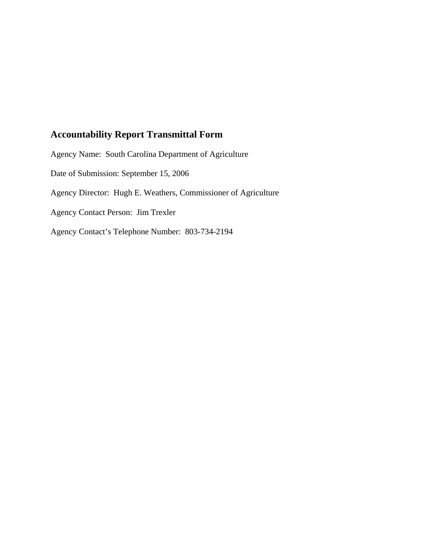## **Accountability Report Transmittal Form**

Agency Name: South Carolina Department of Agriculture Date of Submission: September 15, 2006 Agency Director: Hugh E. Weathers, Commissioner of Agriculture Agency Contact Person: Jim Trexler Agency Contact's Telephone Number: 803-734-2194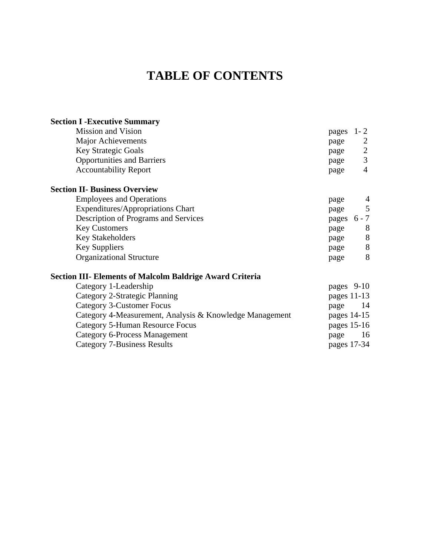## **TABLE OF CONTENTS**

| <b>Section I - Executive Summary</b>                            |               |                |
|-----------------------------------------------------------------|---------------|----------------|
| <b>Mission and Vision</b>                                       | pages         | $1 - 2$        |
| <b>Major Achievements</b>                                       | page          | 2              |
| <b>Key Strategic Goals</b>                                      | page          | $\overline{2}$ |
| <b>Opportunities and Barriers</b>                               | page          | 3              |
| <b>Accountability Report</b>                                    | page          | $\overline{4}$ |
| <b>Section II- Business Overview</b>                            |               |                |
| <b>Employees and Operations</b>                                 | page          |                |
| Expenditures/Appropriations Chart                               | page          | $\overline{5}$ |
| Description of Programs and Services                            | pages 6 - 7   |                |
| <b>Key Customers</b>                                            | page          | 8              |
| Key Stakeholders                                                | page          | $8\,$          |
| <b>Key Suppliers</b>                                            | page          | 8              |
| <b>Organizational Structure</b>                                 | page          | 8              |
| <b>Section III- Elements of Malcolm Baldrige Award Criteria</b> |               |                |
| Category 1-Leadership                                           | pages 9-10    |                |
| Category 2-Strategic Planning                                   | pages $11-13$ |                |
| Category 3-Customer Focus                                       | page          | -14            |
| Category 4-Measurement, Analysis & Knowledge Management         | pages 14-15   |                |
| <b>Category 5-Human Resource Focus</b>                          | pages 15-16   |                |
| <b>Category 6-Process Management</b>                            | page          | 16             |
| <b>Category 7-Business Results</b>                              | pages 17-34   |                |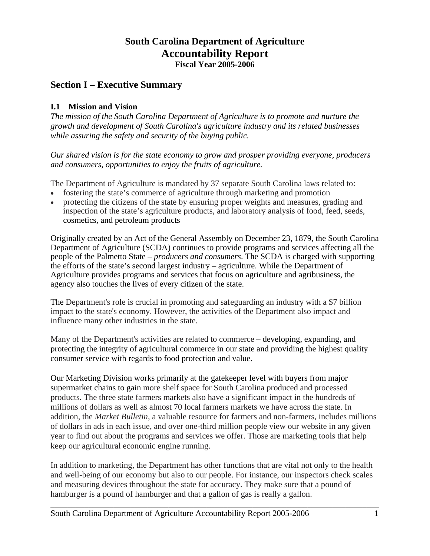## **South Carolina Department of Agriculture Accountability Report Fiscal Year 2005-2006**

## **Section I – Executive Summary**

#### **I.1 Mission and Vision**

*The mission of the South Carolina Department of Agriculture is to promote and nurture the growth and development of South Carolina's agriculture industry and its related businesses while assuring the safety and security of the buying public.* 

*Our shared vision is for the state economy to grow and prosper providing everyone, producers and consumers, opportunities to enjoy the fruits of agriculture.* 

The Department of Agriculture is mandated by 37 separate South Carolina laws related to:

- fostering the state's commerce of agriculture through marketing and promotion
- protecting the citizens of the state by ensuring proper weights and measures, grading and inspection of the state's agriculture products, and laboratory analysis of food, feed, seeds, cosmetics, and petroleum products

Originally created by an Act of the General Assembly on December 23, 1879, the South Carolina Department of Agriculture (SCDA) continues to provide programs and services affecting all the people of the Palmetto State – *producers and consumers*. The SCDA is charged with supporting the efforts of the state's second largest industry – agriculture. While the Department of Agriculture provides programs and services that focus on agriculture and agribusiness, the agency also touches the lives of every citizen of the state.

The Department's role is crucial in promoting and safeguarding an industry with a \$7 billion impact to the state's economy. However, the activities of the Department also impact and influence many other industries in the state.

Many of the Department's activities are related to commerce – developing, expanding, and protecting the integrity of agricultural commerce in our state and providing the highest quality consumer service with regards to food protection and value.

Our Marketing Division works primarily at the gatekeeper level with buyers from major supermarket chains to gain more shelf space for South Carolina produced and processed products. The three state farmers markets also have a significant impact in the hundreds of millions of dollars as well as almost 70 local farmers markets we have across the state. In addition, the *Market Bulletin*, a valuable resource for farmers and non-farmers, includes millions of dollars in ads in each issue, and over one-third million people view our website in any given year to find out about the programs and services we offer. Those are marketing tools that help keep our agricultural economic engine running.

In addition to marketing, the Department has other functions that are vital not only to the health and well-being of our economy but also to our people. For instance, our inspectors check scales and measuring devices throughout the state for accuracy. They make sure that a pound of hamburger is a pound of hamburger and that a gallon of gas is really a gallon.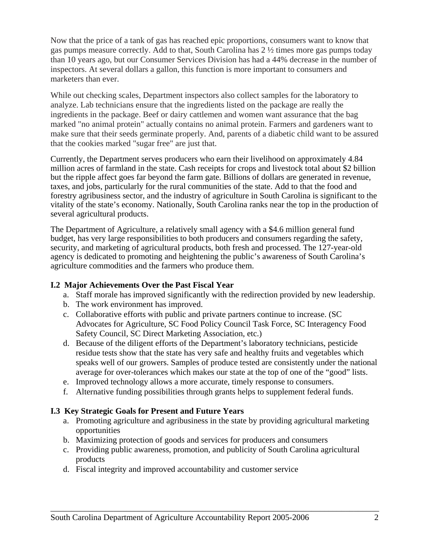Now that the price of a tank of gas has reached epic proportions, consumers want to know that gas pumps measure correctly. Add to that, South Carolina has 2 ½ times more gas pumps today than 10 years ago, but our Consumer Services Division has had a 44% decrease in the number of inspectors. At several dollars a gallon, this function is more important to consumers and marketers than ever.

While out checking scales, Department inspectors also collect samples for the laboratory to analyze. Lab technicians ensure that the ingredients listed on the package are really the ingredients in the package. Beef or dairy cattlemen and women want assurance that the bag marked "no animal protein" actually contains no animal protein. Farmers and gardeners want to make sure that their seeds germinate properly. And, parents of a diabetic child want to be assured that the cookies marked "sugar free" are just that.

Currently, the Department serves producers who earn their livelihood on approximately 4.84 million acres of farmland in the state. Cash receipts for crops and livestock total about \$2 billion but the ripple affect goes far beyond the farm gate. Billions of dollars are generated in revenue, taxes, and jobs, particularly for the rural communities of the state. Add to that the food and forestry agribusiness sector, and the industry of agriculture in South Carolina is significant to the vitality of the state's economy. Nationally, South Carolina ranks near the top in the production of several agricultural products.

The Department of Agriculture, a relatively small agency with a \$4.6 million general fund budget, has very large responsibilities to both producers and consumers regarding the safety, security, and marketing of agricultural products, both fresh and processed. The 127-year-old agency is dedicated to promoting and heightening the public's awareness of South Carolina's agriculture commodities and the farmers who produce them.

#### **I.2 Major Achievements Over the Past Fiscal Year**

- a. Staff morale has improved significantly with the redirection provided by new leadership.
- b. The work environment has improved.
- c. Collaborative efforts with public and private partners continue to increase. (SC Advocates for Agriculture, SC Food Policy Council Task Force, SC Interagency Food Safety Council, SC Direct Marketing Association, etc.)
- d. Because of the diligent efforts of the Department's laboratory technicians, pesticide residue tests show that the state has very safe and healthy fruits and vegetables which speaks well of our growers. Samples of produce tested are consistently under the national average for over-tolerances which makes our state at the top of one of the "good" lists.
- e. Improved technology allows a more accurate, timely response to consumers.
- f. Alternative funding possibilities through grants helps to supplement federal funds.

## **I.3 Key Strategic Goals for Present and Future Years**

- a. Promoting agriculture and agribusiness in the state by providing agricultural marketing opportunities
- b. Maximizing protection of goods and services for producers and consumers
- c. Providing public awareness, promotion, and publicity of South Carolina agricultural products

\_\_\_\_\_\_\_\_\_\_\_\_\_\_\_\_\_\_\_\_\_\_\_\_\_\_\_\_\_\_\_\_\_\_\_\_\_\_\_\_\_\_\_\_\_\_\_\_\_\_\_\_\_\_\_\_\_\_\_\_\_\_\_\_\_\_\_\_\_\_\_\_\_\_\_\_\_\_

d. Fiscal integrity and improved accountability and customer service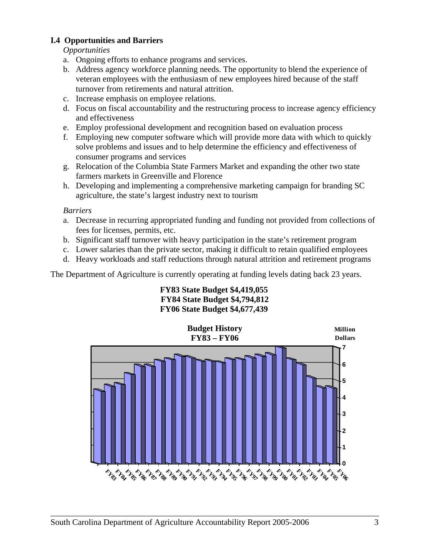## **I.4 Opportunities and Barriers**

*Opportunities* 

- a. Ongoing efforts to enhance programs and services.
- b. Address agency workforce planning needs. The opportunity to blend the experience of veteran employees with the enthusiasm of new employees hired because of the staff turnover from retirements and natural attrition.
- c. Increase emphasis on employee relations.
- d. Focus on fiscal accountability and the restructuring process to increase agency efficiency and effectiveness
- e. Employ professional development and recognition based on evaluation process
- f. Employing new computer software which will provide more data with which to quickly solve problems and issues and to help determine the efficiency and effectiveness of consumer programs and services
- g. Relocation of the Columbia State Farmers Market and expanding the other two state farmers markets in Greenville and Florence
- h. Developing and implementing a comprehensive marketing campaign for branding SC agriculture, the state's largest industry next to tourism

*Barriers* 

- a. Decrease in recurring appropriated funding and funding not provided from collections of fees for licenses, permits, etc.
- b. Significant staff turnover with heavy participation in the state's retirement program
- c. Lower salaries than the private sector, making it difficult to retain qualified employees
- d. Heavy workloads and staff reductions through natural attrition and retirement programs

The Department of Agriculture is currently operating at funding levels dating back 23 years.

#### **FY83 State Budget \$4,419,055 FY84 State Budget \$4,794,812 FY06 State Budget \$4,677,439**

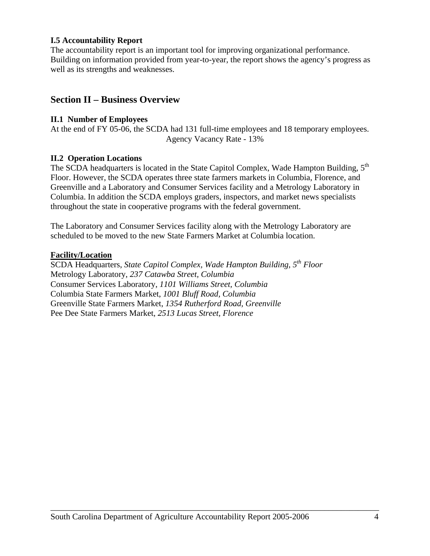#### **I.5 Accountability Report**

The accountability report is an important tool for improving organizational performance. Building on information provided from year-to-year, the report shows the agency's progress as well as its strengths and weaknesses.

## **Section II – Business Overview**

#### **II.1 Number of Employees**

At the end of FY 05-06, the SCDA had 131 full-time employees and 18 temporary employees. Agency Vacancy Rate - 13%

#### **II.2 Operation Locations**

The SCDA headquarters is located in the State Capitol Complex, Wade Hampton Building,  $5<sup>th</sup>$ Floor. However, the SCDA operates three state farmers markets in Columbia, Florence, and Greenville and a Laboratory and Consumer Services facility and a Metrology Laboratory in Columbia. In addition the SCDA employs graders, inspectors, and market news specialists throughout the state in cooperative programs with the federal government.

The Laboratory and Consumer Services facility along with the Metrology Laboratory are scheduled to be moved to the new State Farmers Market at Columbia location.

#### **Facility/Location**

SCDA Headquarters, *State Capitol Complex, Wade Hampton Building, 5th Floor* Metrology Laboratory, *237 Catawba Street, Columbia* Consumer Services Laboratory, *1101 Williams Street, Columbia* Columbia State Farmers Market, *1001 Bluff Road, Columbia*  Greenville State Farmers Market, *1354 Rutherford Road, Greenville*  Pee Dee State Farmers Market, *2513 Lucas Street, Florence*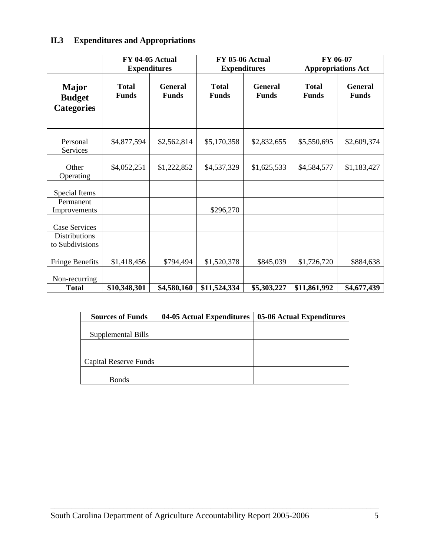## **II.3 Expenditures and Appropriations**

|                                             | FY 04-05 Actual              | <b>Expenditures</b>            |                              | <b>FY 05-06 Actual</b><br><b>Expenditures</b> |                              |                                |  | FY 06-07<br><b>Appropriations Act</b> |  |
|---------------------------------------------|------------------------------|--------------------------------|------------------------------|-----------------------------------------------|------------------------------|--------------------------------|--|---------------------------------------|--|
| Major<br><b>Budget</b><br><b>Categories</b> | <b>Total</b><br><b>Funds</b> | <b>General</b><br><b>Funds</b> | <b>Total</b><br><b>Funds</b> | <b>General</b><br><b>Funds</b>                | <b>Total</b><br><b>Funds</b> | <b>General</b><br><b>Funds</b> |  |                                       |  |
| Personal<br>Services                        | \$4,877,594                  | \$2,562,814                    | \$5,170,358                  | \$2,832,655                                   | \$5,550,695                  | \$2,609,374                    |  |                                       |  |
| Other<br>Operating                          | \$4,052,251                  | \$1,222,852                    | \$4,537,329                  | \$1,625,533                                   | \$4,584,577                  | \$1,183,427                    |  |                                       |  |
| Special Items                               |                              |                                |                              |                                               |                              |                                |  |                                       |  |
| Permanent<br>Improvements                   |                              |                                | \$296,270                    |                                               |                              |                                |  |                                       |  |
| Case Services                               |                              |                                |                              |                                               |                              |                                |  |                                       |  |
| <b>Distributions</b><br>to Subdivisions     |                              |                                |                              |                                               |                              |                                |  |                                       |  |
| Fringe Benefits                             | \$1,418,456                  | \$794,494                      | \$1,520,378                  | \$845,039                                     | \$1,726,720                  | \$884,638                      |  |                                       |  |
| Non-recurring<br><b>Total</b>               | \$10,348,301                 | \$4,580,160                    | \$11,524,334                 | \$5,303,227                                   | \$11,861,992                 | \$4,677,439                    |  |                                       |  |

| <b>Sources of Funds</b>      | 04-05 Actual Expenditures | 05-06 Actual Expenditures |
|------------------------------|---------------------------|---------------------------|
|                              |                           |                           |
| Supplemental Bills           |                           |                           |
|                              |                           |                           |
|                              |                           |                           |
| <b>Capital Reserve Funds</b> |                           |                           |
|                              |                           |                           |
| <b>Bonds</b>                 |                           |                           |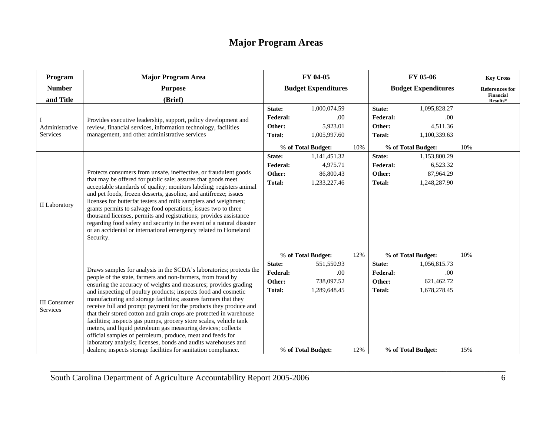## **Major Program Areas**

| Program                         | <b>Major Program Area</b>                                                                                                                                                                                                                                                                                                                                                                                                                                                                                                                                                                                              | FY 04-05                   |                    |     | FY 05-06                   |                    |     | <b>Key Cross</b>             |
|---------------------------------|------------------------------------------------------------------------------------------------------------------------------------------------------------------------------------------------------------------------------------------------------------------------------------------------------------------------------------------------------------------------------------------------------------------------------------------------------------------------------------------------------------------------------------------------------------------------------------------------------------------------|----------------------------|--------------------|-----|----------------------------|--------------------|-----|------------------------------|
| <b>Number</b>                   | <b>Purpose</b>                                                                                                                                                                                                                                                                                                                                                                                                                                                                                                                                                                                                         | <b>Budget Expenditures</b> |                    |     | <b>Budget Expenditures</b> |                    |     | <b>References for</b>        |
| and Title                       | (Brief)                                                                                                                                                                                                                                                                                                                                                                                                                                                                                                                                                                                                                |                            |                    |     |                            |                    |     | <b>Financial</b><br>Results* |
|                                 |                                                                                                                                                                                                                                                                                                                                                                                                                                                                                                                                                                                                                        | State:                     | 1,000,074.59       |     | State:                     | 1,095,828.27       |     |                              |
|                                 | Provides executive leadership, support, policy development and                                                                                                                                                                                                                                                                                                                                                                                                                                                                                                                                                         | <b>Federal:</b>            | .00                |     | <b>Federal:</b>            | .00                |     |                              |
| Administrative                  | review, financial services, information technology, facilities                                                                                                                                                                                                                                                                                                                                                                                                                                                                                                                                                         | Other:                     | 5,923.01           |     | Other:                     | 4,511.36           |     |                              |
| Services                        | management, and other administrative services                                                                                                                                                                                                                                                                                                                                                                                                                                                                                                                                                                          | Total:                     | 1,005,997.60       |     | <b>Total:</b>              | 1,100,339.63       |     |                              |
|                                 |                                                                                                                                                                                                                                                                                                                                                                                                                                                                                                                                                                                                                        |                            | % of Total Budget: | 10% |                            | % of Total Budget: | 10% |                              |
|                                 |                                                                                                                                                                                                                                                                                                                                                                                                                                                                                                                                                                                                                        | State:                     | 1,141,451.32       |     | State:                     | 1,153,800.29       |     |                              |
|                                 |                                                                                                                                                                                                                                                                                                                                                                                                                                                                                                                                                                                                                        | <b>Federal:</b>            | 4,975.71           |     | Federal:                   | 6,523.32           |     |                              |
|                                 | Protects consumers from unsafe, ineffective, or fraudulent goods<br>that may be offered for public sale; assures that goods meet<br>acceptable standards of quality; monitors labeling; registers animal                                                                                                                                                                                                                                                                                                                                                                                                               | Other:                     | 86,800.43          |     | Other:                     | 87,964.29          |     |                              |
|                                 |                                                                                                                                                                                                                                                                                                                                                                                                                                                                                                                                                                                                                        | Total:                     | 1,233,227.46       |     | Total:                     | 1,248,287.90       |     |                              |
| II Laboratory<br>Security.      | and pet foods, frozen desserts, gasoline, and antifreeze; issues<br>licenses for butterfat testers and milk samplers and weighmen;<br>grants permits to salvage food operations; issues two to three<br>thousand licenses, permits and registrations; provides assistance<br>regarding food safety and security in the event of a natural disaster<br>or an accidental or international emergency related to Homeland                                                                                                                                                                                                  |                            |                    |     |                            |                    |     |                              |
|                                 |                                                                                                                                                                                                                                                                                                                                                                                                                                                                                                                                                                                                                        |                            | % of Total Budget: | 12% |                            | % of Total Budget: | 10% |                              |
|                                 | Draws samples for analysis in the SCDA's laboratories; protects the                                                                                                                                                                                                                                                                                                                                                                                                                                                                                                                                                    | State:<br><b>Federal:</b>  | 551,550.93         |     | State:<br><b>Federal:</b>  | 1,056,815.73       |     |                              |
|                                 | people of the state, farmers and non-farmers, from fraud by                                                                                                                                                                                                                                                                                                                                                                                                                                                                                                                                                            | Other:                     | .00<br>738,097.52  |     | Other:                     | .00<br>621,462.72  |     |                              |
|                                 | ensuring the accuracy of weights and measures; provides grading                                                                                                                                                                                                                                                                                                                                                                                                                                                                                                                                                        | Total:                     | 1,289,648.45       |     | <b>Total:</b>              | 1,678,278.45       |     |                              |
| <b>III</b> Consumer<br>Services | and inspecting of poultry products; inspects food and cosmetic<br>manufacturing and storage facilities; assures farmers that they<br>receive full and prompt payment for the products they produce and<br>that their stored cotton and grain crops are protected in warehouse<br>facilities; inspects gas pumps, grocery store scales, vehicle tank<br>meters, and liquid petroleum gas measuring devices; collects<br>official samples of petroleum, produce, meat and feeds for<br>laboratory analysis; licenses, bonds and audits warehouses and<br>dealers; inspects storage facilities for sanitation compliance. |                            | % of Total Budget: | 12% |                            | % of Total Budget: | 15% |                              |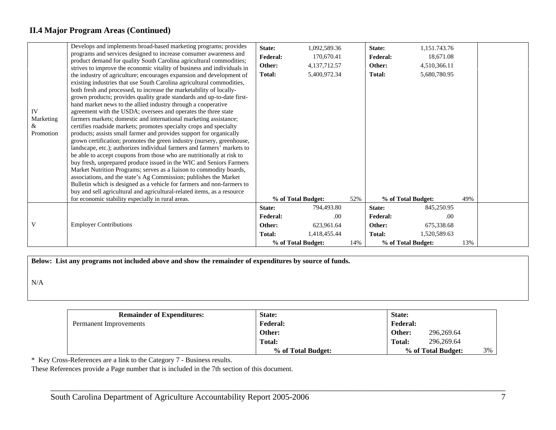## **II.4 Major Program Areas (Continued)**

| IV<br>Marketing<br>&<br>Promotion | Develops and implements broad-based marketing programs; provides<br>programs and services designed to increase consumer awareness and<br>product demand for quality South Carolina agricultural commodities;<br>strives to improve the economic vitality of business and individuals in<br>the industry of agriculture; encourages expansion and development of<br>existing industries that use South Carolina agricultural commodities,<br>both fresh and processed, to increase the marketability of locally-<br>grown products; provides quality grade standards and up-to-date first-<br>hand market news to the allied industry through a cooperative<br>agreement with the USDA; oversees and operates the three state<br>farmers markets; domestic and international marketing assistance;<br>certifies roadside markets; promotes specialty crops and specialty<br>products; assists small farmer and provides support for organically<br>grown certification; promotes the green industry (nursery, greenhouse,<br>landscape, etc.); authorizes individual farmers and farmers' markets to<br>be able to accept coupons from those who are nutritionally at risk to<br>buy fresh, unprepared produce issued in the WIC and Seniors Farmers<br>Market Nutrition Programs; serves as a liaison to commodity boards,<br>associations, and the state's Ag Commission; publishes the Market<br>Bulletin which is designed as a vehicle for farmers and non-farmers to<br>buy and sell agricultural and agricultural-related items, as a resource<br>for economic stability especially in rural areas. | State:<br><b>Federal:</b><br>Other:<br><b>Total:</b> | 1,092,589.36<br>170,670.41<br>4,137,712.57<br>5,400,972.34<br>% of Total Budget: | 52% | State:<br><b>Federal:</b><br>Other:<br><b>Total:</b><br>% of Total Budget: | 1,151.743.76<br>18,671.08<br>4,510,366.11<br>5,680,780.95 | 49% |  |
|-----------------------------------|-----------------------------------------------------------------------------------------------------------------------------------------------------------------------------------------------------------------------------------------------------------------------------------------------------------------------------------------------------------------------------------------------------------------------------------------------------------------------------------------------------------------------------------------------------------------------------------------------------------------------------------------------------------------------------------------------------------------------------------------------------------------------------------------------------------------------------------------------------------------------------------------------------------------------------------------------------------------------------------------------------------------------------------------------------------------------------------------------------------------------------------------------------------------------------------------------------------------------------------------------------------------------------------------------------------------------------------------------------------------------------------------------------------------------------------------------------------------------------------------------------------------------------------------------------------------------------------------------------------|------------------------------------------------------|----------------------------------------------------------------------------------|-----|----------------------------------------------------------------------------|-----------------------------------------------------------|-----|--|
|                                   |                                                                                                                                                                                                                                                                                                                                                                                                                                                                                                                                                                                                                                                                                                                                                                                                                                                                                                                                                                                                                                                                                                                                                                                                                                                                                                                                                                                                                                                                                                                                                                                                           | State:<br><b>Federal:</b>                            | 794,493.80<br>.00                                                                |     | State:<br><b>Federal:</b>                                                  | 845,250.95<br>.00                                         |     |  |
| V                                 | <b>Employer Contributions</b>                                                                                                                                                                                                                                                                                                                                                                                                                                                                                                                                                                                                                                                                                                                                                                                                                                                                                                                                                                                                                                                                                                                                                                                                                                                                                                                                                                                                                                                                                                                                                                             | Other:                                               | 623,961.64                                                                       |     | Other:                                                                     | 675,338.68                                                |     |  |
|                                   |                                                                                                                                                                                                                                                                                                                                                                                                                                                                                                                                                                                                                                                                                                                                                                                                                                                                                                                                                                                                                                                                                                                                                                                                                                                                                                                                                                                                                                                                                                                                                                                                           | <b>Total:</b>                                        | 1,418,455.44                                                                     |     | Total:                                                                     | 1,520,589.63                                              |     |  |
|                                   |                                                                                                                                                                                                                                                                                                                                                                                                                                                                                                                                                                                                                                                                                                                                                                                                                                                                                                                                                                                                                                                                                                                                                                                                                                                                                                                                                                                                                                                                                                                                                                                                           |                                                      | % of Total Budget:                                                               | 14% | % of Total Budget:                                                         |                                                           | 13% |  |

**Below: List any programs not included above and show the remainder of expenditures by source of funds.** 

N/A

| <b>Remainder of Expenditures:</b> | State:             | State:                   |
|-----------------------------------|--------------------|--------------------------|
| Permanent Improvements            | <b>Federal:</b>    | <b>Federal:</b>          |
|                                   | Other:             | 296,269.64<br>Other:     |
|                                   | Total:             | 296,269.64<br>Total:     |
|                                   | % of Total Budget: | 3%<br>% of Total Budget: |

\_\_\_\_\_\_\_\_\_\_\_\_\_\_\_\_\_\_\_\_\_\_\_\_\_\_\_\_\_\_\_\_\_\_\_\_\_\_\_\_\_\_\_\_\_\_\_\_\_\_\_\_\_\_\_\_\_\_\_\_\_\_\_\_\_\_\_\_\_\_\_\_\_\_\_\_\_\_\_\_\_\_\_\_\_\_\_\_\_\_\_\_\_\_\_\_\_\_\_\_\_\_\_\_\_\_\_\_

\* Key Cross-References are a link to the Category 7 - Business results.

These References provide a Page number that is included in the 7th section of this document.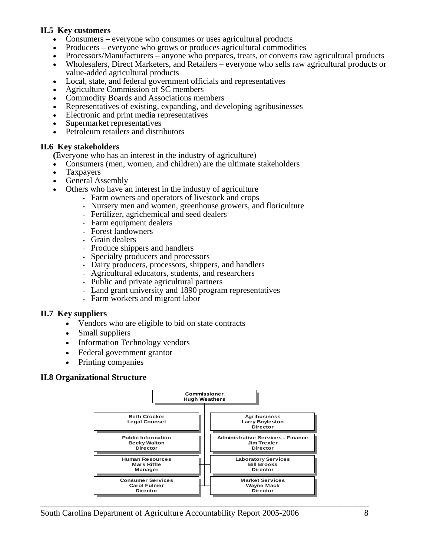#### **II.5 Key customers**

- Consumers everyone who consumes or uses agricultural products
- Producers everyone who grows or produces agricultural commodities
- Processors/Manufacturers anyone who prepares, treats, or converts raw agricultural products
- Wholesalers, Direct Marketers, and Retailers everyone who sells raw agricultural products or value-added agricultural products
- Local, state, and federal government officials and representatives
- Agriculture Commission of SC members
- Commodity Boards and Associations members
- Representatives of existing, expanding, and developing agribusinesses
- Electronic and print media representatives
- Supermarket representatives
- Petroleum retailers and distributors

#### **II.6 Key stakeholders**

**(**Everyone who has an interest in the industry of agriculture)

- Consumers (men, women, and children) are the ultimate stakeholders
- **Taxpayers**
- General Assembly
- Others who have an interest in the industry of agriculture
	- Farm owners and operators of livestock and crops
	- Nursery men and women, greenhouse growers, and floriculture
	- Fertilizer, agrichemical and seed dealers
	- Farm equipment dealers
	- Forest landowners
	- Grain dealers
	- Produce shippers and handlers
	- Specialty producers and processors
	- Dairy producers, processors, shippers, and handlers
	- Agricultural educators, students, and researchers
	- Public and private agricultural partners
	- Land grant university and 1890 program representatives
	- Farm workers and migrant labor

#### **II.7 Key suppliers**

- Vendors who are eligible to bid on state contracts
- Small suppliers
- Information Technology vendors
- Federal government grantor
- Printing companies

#### **II.8 Organizational Structure**

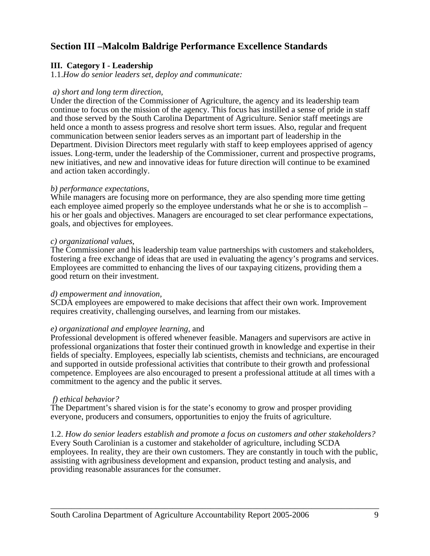## **Section III –Malcolm Baldrige Performance Excellence Standards**

#### **III. Category I - Leadership**

1.1.*How do senior leaders set, deploy and communicate:* 

#### *a) short and long term direction,*

Under the direction of the Commissioner of Agriculture, the agency and its leadership team continue to focus on the mission of the agency. This focus has instilled a sense of pride in staff and those served by the South Carolina Department of Agriculture. Senior staff meetings are held once a month to assess progress and resolve short term issues. Also, regular and frequent communication between senior leaders serves as an important part of leadership in the Department. Division Directors meet regularly with staff to keep employees apprised of agency issues. Long-term, under the leadership of the Commissioner, current and prospective programs, new initiatives, and new and innovative ideas for future direction will continue to be examined and action taken accordingly.

#### *b) performance expectations,*

While managers are focusing more on performance, they are also spending more time getting each employee aimed properly so the employee understands what he or she is to accomplish – his or her goals and objectives. Managers are encouraged to set clear performance expectations, goals, and objectives for employees.

#### *c) organizational values,*

The Commissioner and his leadership team value partnerships with customers and stakeholders, fostering a free exchange of ideas that are used in evaluating the agency's programs and services. Employees are committed to enhancing the lives of our taxpaying citizens, providing them a good return on their investment.

#### *d) empowerment and innovation,*

SCDA employees are empowered to make decisions that affect their own work. Improvement requires creativity, challenging ourselves, and learning from our mistakes.

#### *e) organizational and employee learning,* and

Professional development is offered whenever feasible. Managers and supervisors are active in professional organizations that foster their continued growth in knowledge and expertise in their fields of specialty. Employees, especially lab scientists, chemists and technicians, are encouraged and supported in outside professional activities that contribute to their growth and professional competence. Employees are also encouraged to present a professional attitude at all times with a commitment to the agency and the public it serves.

#### *f) ethical behavior?*

The Department's shared vision is for the state's economy to grow and prosper providing everyone, producers and consumers, opportunities to enjoy the fruits of agriculture.

#### 1.2. *How do senior leaders establish and promote a focus on customers and other stakeholders?*

Every South Carolinian is a customer and stakeholder of agriculture, including SCDA employees. In reality, they are their own customers. They are constantly in touch with the public, assisting with agribusiness development and expansion, product testing and analysis, and providing reasonable assurances for the consumer.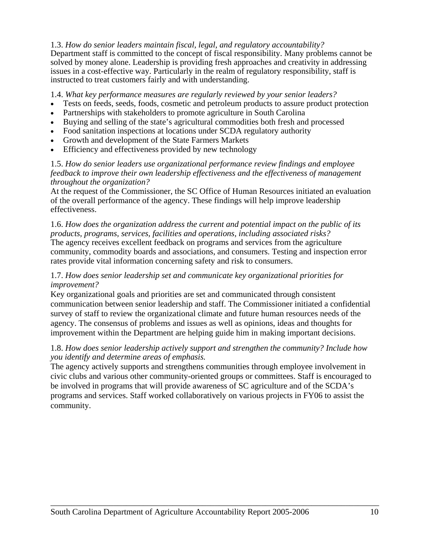#### 1.3. *How do senior leaders maintain fiscal, legal, and regulatory accountability?*

Department staff is committed to the concept of fiscal responsibility. Many problems cannot be solved by money alone. Leadership is providing fresh approaches and creativity in addressing issues in a cost-effective way. Particularly in the realm of regulatory responsibility, staff is instructed to treat customers fairly and with understanding.

1.4. *What key performance measures are regularly reviewed by your senior leaders?* 

- Tests on feeds, seeds, foods, cosmetic and petroleum products to assure product protection
- Partnerships with stakeholders to promote agriculture in South Carolina
- Buying and selling of the state's agricultural commodities both fresh and processed
- Food sanitation inspections at locations under SCDA regulatory authority
- Growth and development of the State Farmers Markets
- Efficiency and effectiveness provided by new technology

#### 1.5. *How do senior leaders use organizational performance review findings and employee feedback to improve their own leadership effectiveness and the effectiveness of management throughout the organization?*

At the request of the Commissioner, the SC Office of Human Resources initiated an evaluation of the overall performance of the agency. These findings will help improve leadership effectiveness.

1.6. *How does the organization address the current and potential impact on the public of its products, programs, services, facilities and operations, including associated risks?*  The agency receives excellent feedback on programs and services from the agriculture community, commodity boards and associations, and consumers. Testing and inspection error rates provide vital information concerning safety and risk to consumers.

#### 1.7. *How does senior leadership set and communicate key organizational priorities for improvement?*

Key organizational goals and priorities are set and communicated through consistent communication between senior leadership and staff. The Commissioner initiated a confidential survey of staff to review the organizational climate and future human resources needs of the agency. The consensus of problems and issues as well as opinions, ideas and thoughts for improvement within the Department are helping guide him in making important decisions.

#### 1.8. *How does senior leadership actively support and strengthen the community? Include how you identify and determine areas of emphasis.*

The agency actively supports and strengthens communities through employee involvement in civic clubs and various other community-oriented groups or committees. Staff is encouraged to be involved in programs that will provide awareness of SC agriculture and of the SCDA's programs and services. Staff worked collaboratively on various projects in FY06 to assist the community.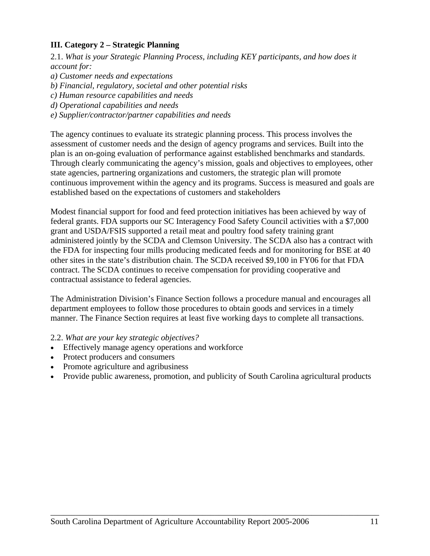#### **III. Category 2 – Strategic Planning**

2.1. *What is your Strategic Planning Process, including KEY participants, and how does it account for:*

*a) Customer needs and expectations* 

*b) Financial, regulatory, societal and other potential risks* 

- *c) Human resource capabilities and needs*
- *d) Operational capabilities and needs*
- *e) Supplier/contractor/partner capabilities and needs*

The agency continues to evaluate its strategic planning process. This process involves the assessment of customer needs and the design of agency programs and services. Built into the plan is an on-going evaluation of performance against established benchmarks and standards. Through clearly communicating the agency's mission, goals and objectives to employees, other state agencies, partnering organizations and customers, the strategic plan will promote continuous improvement within the agency and its programs. Success is measured and goals are established based on the expectations of customers and stakeholders

Modest financial support for food and feed protection initiatives has been achieved by way of federal grants. FDA supports our SC Interagency Food Safety Council activities with a \$7,000 grant and USDA/FSIS supported a retail meat and poultry food safety training grant administered jointly by the SCDA and Clemson University. The SCDA also has a contract with the FDA for inspecting four mills producing medicated feeds and for monitoring for BSE at 40 other sites in the state's distribution chain. The SCDA received \$9,100 in FY06 for that FDA contract. The SCDA continues to receive compensation for providing cooperative and contractual assistance to federal agencies.

The Administration Division's Finance Section follows a procedure manual and encourages all department employees to follow those procedures to obtain goods and services in a timely manner. The Finance Section requires at least five working days to complete all transactions.

#### 2.2. *What are your key strategic objectives?*

- Effectively manage agency operations and workforce
- Protect producers and consumers
- Promote agriculture and agribusiness
- Provide public awareness, promotion, and publicity of South Carolina agricultural products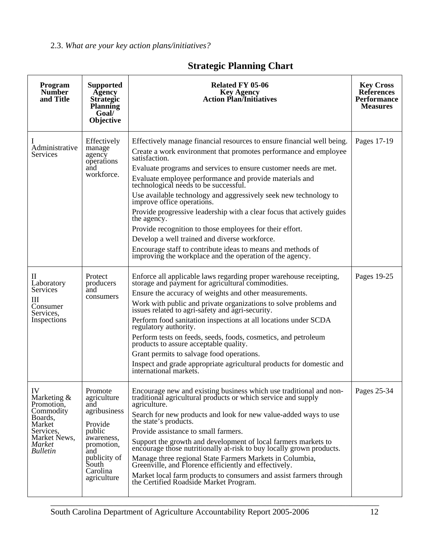2.3. *What are your key action plans/initiatives?* 

| Program<br><b>Number</b><br>and Title                                                                                          | <b>Supported</b><br>Agency<br><b>Strategic</b><br><b>Planning</b><br>Goal/<br>Objective                                                                   | Related FY 05-06<br><b>Key Agency</b><br><b>Action Plan/Initiatives</b>                                                                                                                                                                                                                                                                                                                                                                                                                                                                                                                                                                                                                                                                                                | <b>Key Cross</b><br><b>References</b><br><b>Performance</b><br><b>Measures</b> |
|--------------------------------------------------------------------------------------------------------------------------------|-----------------------------------------------------------------------------------------------------------------------------------------------------------|------------------------------------------------------------------------------------------------------------------------------------------------------------------------------------------------------------------------------------------------------------------------------------------------------------------------------------------------------------------------------------------------------------------------------------------------------------------------------------------------------------------------------------------------------------------------------------------------------------------------------------------------------------------------------------------------------------------------------------------------------------------------|--------------------------------------------------------------------------------|
| Administrative<br>Services                                                                                                     | Effectively<br>manage<br>agency<br>operations<br>and<br>workforce.                                                                                        | Effectively manage financial resources to ensure financial well being.<br>Create a work environment that promotes performance and employee<br>satisfaction.<br>Evaluate programs and services to ensure customer needs are met.<br>Evaluate employee performance and provide materials and<br>technological needs to be successful.<br>Use available technology and aggressively seek new technology to<br>improve office operations.<br>Provide progressive leadership with a clear focus that actively guides<br>the agency.<br>Provide recognition to those employees for their effort.<br>Develop a well trained and diverse workforce.<br>Encourage staff to contribute ideas to means and methods of<br>improving the workplace and the operation of the agency. | Pages 17-19                                                                    |
| П<br>Laboratory<br>Services<br>Ш<br>Consumer<br>Services,<br>Inspections                                                       | Protect<br>producers<br>and<br>consumers                                                                                                                  | Enforce all applicable laws regarding proper warehouse receipting,<br>storage and payment for agricultural commodities.<br>Ensure the accuracy of weights and other measurements.<br>Work with public and private organizations to solve problems and issues related to agri-safety and agri-security.<br>Perform food sanitation inspections at all locations under SCDA<br>regulatory authority.<br>Perform tests on feeds, seeds, foods, cosmetics, and petroleum<br>products to assure acceptable quality.<br>Grant permits to salvage food operations.<br>Inspect and grade appropriate agricultural products for domestic and international markets.                                                                                                             | Pages 19-25                                                                    |
| IV<br>Marketing $\&$<br>Promotion,<br>Commodity<br>Boards,<br>Market<br>Services,<br>Market News,<br>Market<br><b>Bulletin</b> | Promote<br>agriculture<br>and<br>agribusiness<br>Provide<br>public<br>awareness,<br>promotion,<br>and<br>publicity of<br>South<br>Carolina<br>agriculture | Encourage new and existing business which use traditional and non-<br>traditional agricultural products or which service and supply<br>agriculture.<br>Search for new products and look for new value-added ways to use<br>the state's products.<br>Provide assistance to small farmers.<br>Support the growth and development of local farmers markets to<br>encourage those nutritionally at-risk to buy locally grown products.<br>Manage three regional State Farmers Markets in Columbia,<br>Greenville, and Florence efficiently and effectively.<br>Market local farm products to consumers and assist farmers through<br>the Certified Roadside Market Program.                                                                                                | Pages 25-34                                                                    |

## **Strategic Planning Chart**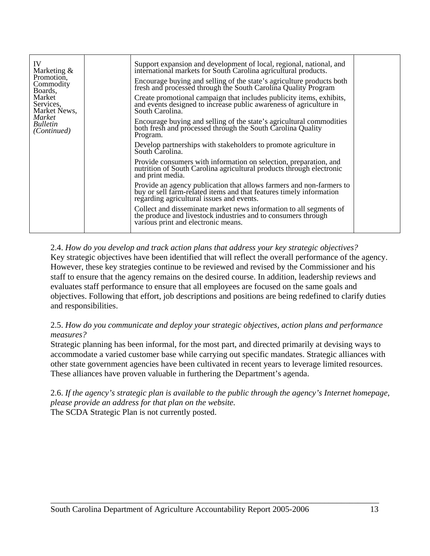| IV<br>Support expansion and development of local, regional, national, and<br>international markets for South Carolina agricultural products.<br>Marketing $&$<br>Promotion.<br>Encourage buying and selling of the state's agriculture products both<br>fresh and processed through the South Carolina Quality Program<br>Commodity<br>Boards,<br>Market<br>Create promotional campaign that includes publicity items, exhibits,<br>Services,<br>and events designed to increase public awareness of agriculture in<br>Market News,<br>South Carolina.<br><i>Market</i><br>Encourage buying and selling of the state's agricultural commodities<br><i>Bulletin</i><br>both fresh and processed through the South Carolina Quality<br>(Continued)<br>Program.<br>Develop partnerships with stakeholders to promote agriculture in<br>South Carolina.<br>Provide consumers with information on selection, preparation, and<br>nutrition of South Carolina agricultural products through electronic<br>and print media.<br>Provide an agency publication that allows farmers and non-farmers to<br>buy or sell farm-related items and that features timely information<br>regarding agricultural issues and events.<br>Collect and disseminate market news information to all segments of<br>the produce and livestock industries and to consumers through<br>various print and electronic means. |  |
|------------------------------------------------------------------------------------------------------------------------------------------------------------------------------------------------------------------------------------------------------------------------------------------------------------------------------------------------------------------------------------------------------------------------------------------------------------------------------------------------------------------------------------------------------------------------------------------------------------------------------------------------------------------------------------------------------------------------------------------------------------------------------------------------------------------------------------------------------------------------------------------------------------------------------------------------------------------------------------------------------------------------------------------------------------------------------------------------------------------------------------------------------------------------------------------------------------------------------------------------------------------------------------------------------------------------------------------------------------------------------------------------|--|
|------------------------------------------------------------------------------------------------------------------------------------------------------------------------------------------------------------------------------------------------------------------------------------------------------------------------------------------------------------------------------------------------------------------------------------------------------------------------------------------------------------------------------------------------------------------------------------------------------------------------------------------------------------------------------------------------------------------------------------------------------------------------------------------------------------------------------------------------------------------------------------------------------------------------------------------------------------------------------------------------------------------------------------------------------------------------------------------------------------------------------------------------------------------------------------------------------------------------------------------------------------------------------------------------------------------------------------------------------------------------------------------------|--|

2.4. *How do you develop and track action plans that address your key strategic objectives?*  Key strategic objectives have been identified that will reflect the overall performance of the agency. However, these key strategies continue to be reviewed and revised by the Commissioner and his staff to ensure that the agency remains on the desired course. In addition, leadership reviews and evaluates staff performance to ensure that all employees are focused on the same goals and objectives. Following that effort, job descriptions and positions are being redefined to clarify duties and responsibilities.

2.5. *How do you communicate and deploy your strategic objectives, action plans and performance measures?* 

Strategic planning has been informal, for the most part, and directed primarily at devising ways to accommodate a varied customer base while carrying out specific mandates. Strategic alliances with other state government agencies have been cultivated in recent years to leverage limited resources. These alliances have proven valuable in furthering the Department's agenda.

2.6. *If the agency's strategic plan is available to the public through the agency's Internet homepage, please provide an address for that plan on the website.*  The SCDA Strategic Plan is not currently posted.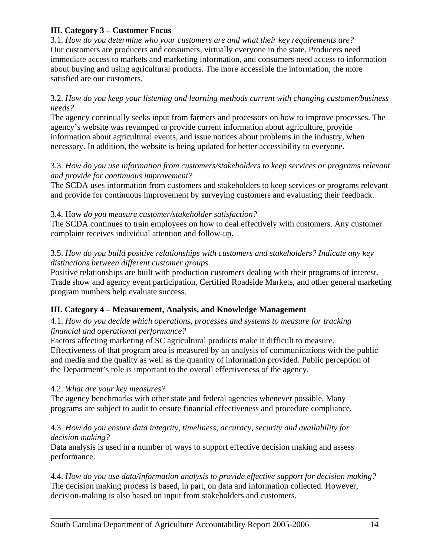#### **III. Category 3 – Customer Focus**

3.1. *How do you determine who your customers are and what their key requirements are?* Our customers are producers and consumers, virtually everyone in the state. Producers need immediate access to markets and marketing information, and consumers need access to information about buying and using agricultural products. The more accessible the information, the more satisfied are our customers.

#### 3.2. *How do you keep your listening and learning methods current with changing customer/business needs?*

The agency continually seeks input from farmers and processors on how to improve processes. The agency's website was revamped to provide current information about agriculture, provide information about agricultural events, and issue notices about problems in the industry, when necessary. In addition, the website is being updated for better accessibility to everyone.

#### 3.3. *How do you use information from customers/stakeholders to keep services or programs relevant and provide for continuous improvement?*

The SCDA uses information from customers and stakeholders to keep services or programs relevant and provide for continuous improvement by surveying customers and evaluating their feedback.

#### 3.4. How *do you measure customer/stakeholder satisfaction?*

The SCDA continues to train employees on how to deal effectively with customers. Any customer complaint receives individual attention and follow-up.

#### 3.5. *How do you build positive relationships with customers and stakeholders? Indicate any key distinctions between different customer groups.*

Positive relationships are built with production customers dealing with their programs of interest. Trade show and agency event participation, Certified Roadside Markets, and other general marketing program numbers help evaluate success.

## **III. Category 4 – Measurement, Analysis, and Knowledge Management**

#### 4.1. *How do you decide which operations, processes and systems to measure for tracking financial and operational performance?*

Factors affecting marketing of SC agricultural products make it difficult to measure. Effectiveness of that program area is measured by an analysis of communications with the public and media and the quality as well as the quantity of information provided. Public perception of the Department's role is important to the overall effectiveness of the agency.

#### 4.2. *What are your key measures?*

The agency benchmarks with other state and federal agencies whenever possible. Many programs are subject to audit to ensure financial effectiveness and procedure compliance.

#### 4.3. *How do you ensure data integrity, timeliness, accuracy, security and availability for decision making?*

Data analysis is used in a number of ways to support effective decision making and assess performance.

4.4. *How do you use data/information analysis to provide effective support for decision making?* The decision making process is based, in part, on data and information collected. However, decision-making is also based on input from stakeholders and customers.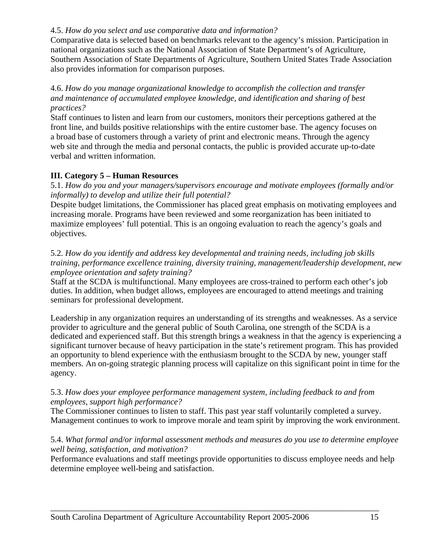#### 4.5. *How do you select and use comparative data and information?*

Comparative data is selected based on benchmarks relevant to the agency's mission. Participation in national organizations such as the National Association of State Department's of Agriculture, Southern Association of State Departments of Agriculture, Southern United States Trade Association also provides information for comparison purposes.

#### 4.6. *How do you manage organizational knowledge to accomplish the collection and transfer and maintenance of accumulated employee knowledge, and identification and sharing of best practices?*

Staff continues to listen and learn from our customers, monitors their perceptions gathered at the front line, and builds positive relationships with the entire customer base. The agency focuses on a broad base of customers through a variety of print and electronic means. Through the agency web site and through the media and personal contacts, the public is provided accurate up-to-date verbal and written information.

#### **III. Category 5 – Human Resources**

5.1. *How do you and your managers/supervisors encourage and motivate employees (formally and/or informally) to develop and utilize their full potential?* 

Despite budget limitations, the Commissioner has placed great emphasis on motivating employees and increasing morale. Programs have been reviewed and some reorganization has been initiated to maximize employees' full potential. This is an ongoing evaluation to reach the agency's goals and objectives.

#### 5.2*. How do you identify and address key developmental and training needs, including job skills training, performance excellence training, diversity training, management/leadership development, new employee orientation and safety training?*

Staff at the SCDA is multifunctional. Many employees are cross-trained to perform each other's job duties. In addition, when budget allows, employees are encouraged to attend meetings and training seminars for professional development.

Leadership in any organization requires an understanding of its strengths and weaknesses. As a service provider to agriculture and the general public of South Carolina, one strength of the SCDA is a dedicated and experienced staff. But this strength brings a weakness in that the agency is experiencing a significant turnover because of heavy participation in the state's retirement program. This has provided an opportunity to blend experience with the enthusiasm brought to the SCDA by new, younger staff members. An on-going strategic planning process will capitalize on this significant point in time for the agency.

#### 5.3. *How does your employee performance management system, including feedback to and from employees, support high performance?*

The Commissioner continues to listen to staff. This past year staff voluntarily completed a survey. Management continues to work to improve morale and team spirit by improving the work environment.

#### 5.4. *What formal and/or informal assessment methods and measures do you use to determine employee well being, satisfaction, and motivation?*

Performance evaluations and staff meetings provide opportunities to discuss employee needs and help determine employee well-being and satisfaction.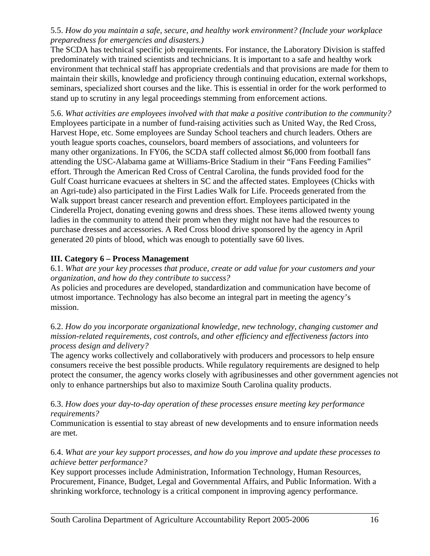#### 5.5. *How do you maintain a safe, secure, and healthy work environment? (Include your workplace preparedness for emergencies and disasters.)*

The SCDA has technical specific job requirements. For instance, the Laboratory Division is staffed predominately with trained scientists and technicians. It is important to a safe and healthy work environment that technical staff has appropriate credentials and that provisions are made for them to maintain their skills, knowledge and proficiency through continuing education, external workshops, seminars, specialized short courses and the like. This is essential in order for the work performed to stand up to scrutiny in any legal proceedings stemming from enforcement actions.

5.6. *What activities are employees involved with that make a positive contribution to the community?*  Employees participate in a number of fund-raising activities such as United Way, the Red Cross, Harvest Hope, etc. Some employees are Sunday School teachers and church leaders. Others are youth league sports coaches, counselors, board members of associations, and volunteers for many other organizations. In FY06, the SCDA staff collected almost \$6,000 from football fans attending the USC-Alabama game at Williams-Brice Stadium in their "Fans Feeding Families" effort. Through the American Red Cross of Central Carolina, the funds provided food for the Gulf Coast hurricane evacuees at shelters in SC and the affected states. Employees (Chicks with an Agri-tude) also participated in the First Ladies Walk for Life. Proceeds generated from the Walk support breast cancer research and prevention effort. Employees participated in the Cinderella Project, donating evening gowns and dress shoes. These items allowed twenty young ladies in the community to attend their prom when they might not have had the resources to purchase dresses and accessories. A Red Cross blood drive sponsored by the agency in April generated 20 pints of blood, which was enough to potentially save 60 lives.

## **III. Category 6 – Process Management**

6.1. *What are your key processes that produce, create or add value for your customers and your organization, and how do they contribute to success?* 

As policies and procedures are developed, standardization and communication have become of utmost importance. Technology has also become an integral part in meeting the agency's mission.

6.2. *How do you incorporate organizational knowledge, new technology, changing customer and mission-related requirements, cost controls, and other efficiency and effectiveness factors into process design and delivery?*

The agency works collectively and collaboratively with producers and processors to help ensure consumers receive the best possible products. While regulatory requirements are designed to help protect the consumer, the agency works closely with agribusinesses and other government agencies not only to enhance partnerships but also to maximize South Carolina quality products.

#### 6.3. *How does your day-to-day operation of these processes ensure meeting key performance requirements?*

Communication is essential to stay abreast of new developments and to ensure information needs are met.

#### 6.4. *What are your key support processes, and how do you improve and update these processes to achieve better performance?*

Key support processes include Administration, Information Technology, Human Resources, Procurement, Finance, Budget, Legal and Governmental Affairs, and Public Information. With a shrinking workforce, technology is a critical component in improving agency performance.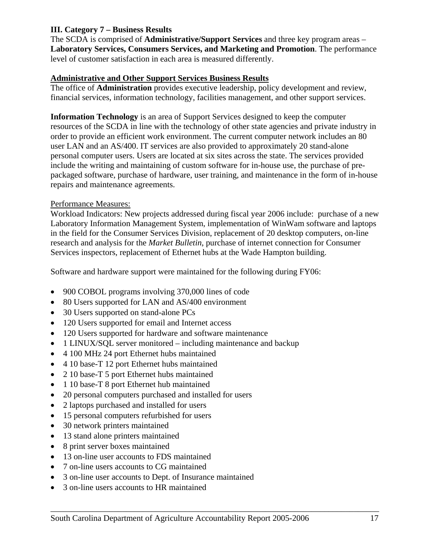#### **III. Category 7 – Business Results**

The SCDA is comprised of **Administrative/Support Services** and three key program areas – **Laboratory Services, Consumers Services, and Marketing and Promotion**. The performance level of customer satisfaction in each area is measured differently.

#### **Administrative and Other Support Services Business Results**

The office of **Administration** provides executive leadership, policy development and review, financial services, information technology, facilities management, and other support services.

**Information Technology** is an area of Support Services designed to keep the computer resources of the SCDA in line with the technology of other state agencies and private industry in order to provide an efficient work environment. The current computer network includes an 80 user LAN and an AS/400. IT services are also provided to approximately 20 stand-alone personal computer users. Users are located at six sites across the state. The services provided include the writing and maintaining of custom software for in-house use, the purchase of prepackaged software, purchase of hardware, user training, and maintenance in the form of in-house repairs and maintenance agreements.

#### Performance Measures:

Workload Indicators: New projects addressed during fiscal year 2006 include: purchase of a new Laboratory Information Management System, implementation of WinWam software and laptops in the field for the Consumer Services Division, replacement of 20 desktop computers, on-line research and analysis for the *Market Bulletin*, purchase of internet connection for Consumer Services inspectors, replacement of Ethernet hubs at the Wade Hampton building.

Software and hardware support were maintained for the following during FY06:

- 900 COBOL programs involving 370,000 lines of code
- 80 Users supported for LAN and AS/400 environment
- 30 Users supported on stand-alone PCs
- 120 Users supported for email and Internet access
- 120 Users supported for hardware and software maintenance
- 1 LINUX/SQL server monitored including maintenance and backup
- 4 100 MHz 24 port Ethernet hubs maintained
- 4 10 base-T 12 port Ethernet hubs maintained
- 2 10 base-T 5 port Ethernet hubs maintained
- 1 10 base-T 8 port Ethernet hub maintained
- 20 personal computers purchased and installed for users
- 2 laptops purchased and installed for users
- 15 personal computers refurbished for users
- 30 network printers maintained
- 13 stand alone printers maintained
- 8 print server boxes maintained
- 13 on-line user accounts to FDS maintained
- 7 on-line users accounts to CG maintained
- 3 on-line user accounts to Dept. of Insurance maintained
- 3 on-line users accounts to HR maintained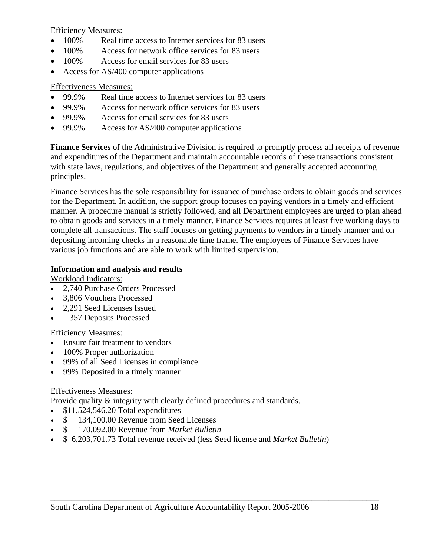Efficiency Measures:

- 100% Real time access to Internet services for 83 users
- 100% Access for network office services for 83 users
- 100% Access for email services for 83 users
- Access for AS/400 computer applications

## Effectiveness Measures:

- 99.9% Real time access to Internet services for 83 users
- 99.9% Access for network office services for 83 users
- 99.9% Access for email services for 83 users
- 99.9% Access for AS/400 computer applications

**Finance Services** of the Administrative Division is required to promptly process all receipts of revenue and expenditures of the Department and maintain accountable records of these transactions consistent with state laws, regulations, and objectives of the Department and generally accepted accounting principles.

Finance Services has the sole responsibility for issuance of purchase orders to obtain goods and services for the Department. In addition, the support group focuses on paying vendors in a timely and efficient manner. A procedure manual is strictly followed, and all Department employees are urged to plan ahead to obtain goods and services in a timely manner. Finance Services requires at least five working days to complete all transactions. The staff focuses on getting payments to vendors in a timely manner and on depositing incoming checks in a reasonable time frame. The employees of Finance Services have various job functions and are able to work with limited supervision.

## **Information and analysis and results**

Workload Indicators:

- 2,740 Purchase Orders Processed
- 3,806 Vouchers Processed
- 2,291 Seed Licenses Issued
- 357 Deposits Processed

## Efficiency Measures:

- Ensure fair treatment to vendors
- 100% Proper authorization
- 99% of all Seed Licenses in compliance
- 99% Deposited in a timely manner

## Effectiveness Measures:

Provide quality & integrity with clearly defined procedures and standards.

- \$11,524,546.20 Total expenditures
- $$ 134,100.00$  Revenue from Seed Licenses
- \$ 170,092.00 Revenue from *Market Bulletin*
- \$ 6,203,701.73 Total revenue received (less Seed license and *Market Bulletin*)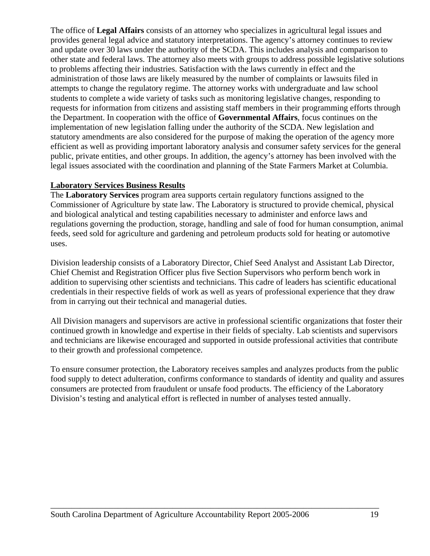The office of **Legal Affairs** consists of an attorney who specializes in agricultural legal issues and provides general legal advice and statutory interpretations. The agency's attorney continues to review and update over 30 laws under the authority of the SCDA. This includes analysis and comparison to other state and federal laws. The attorney also meets with groups to address possible legislative solutions to problems affecting their industries. Satisfaction with the laws currently in effect and the administration of those laws are likely measured by the number of complaints or lawsuits filed in attempts to change the regulatory regime. The attorney works with undergraduate and law school students to complete a wide variety of tasks such as monitoring legislative changes, responding to requests for information from citizens and assisting staff members in their programming efforts through the Department. In cooperation with the office of **Governmental Affairs**, focus continues on the implementation of new legislation falling under the authority of the SCDA. New legislation and statutory amendments are also considered for the purpose of making the operation of the agency more efficient as well as providing important laboratory analysis and consumer safety services for the general public, private entities, and other groups. In addition, the agency's attorney has been involved with the legal issues associated with the coordination and planning of the State Farmers Market at Columbia.

#### **Laboratory Services Business Results**

The **Laboratory Services** program area supports certain regulatory functions assigned to the Commissioner of Agriculture by state law. The Laboratory is structured to provide chemical, physical and biological analytical and testing capabilities necessary to administer and enforce laws and regulations governing the production, storage, handling and sale of food for human consumption, animal feeds, seed sold for agriculture and gardening and petroleum products sold for heating or automotive uses.

Division leadership consists of a Laboratory Director, Chief Seed Analyst and Assistant Lab Director, Chief Chemist and Registration Officer plus five Section Supervisors who perform bench work in addition to supervising other scientists and technicians. This cadre of leaders has scientific educational credentials in their respective fields of work as well as years of professional experience that they draw from in carrying out their technical and managerial duties.

All Division managers and supervisors are active in professional scientific organizations that foster their continued growth in knowledge and expertise in their fields of specialty. Lab scientists and supervisors and technicians are likewise encouraged and supported in outside professional activities that contribute to their growth and professional competence.

To ensure consumer protection, the Laboratory receives samples and analyzes products from the public food supply to detect adulteration, confirms conformance to standards of identity and quality and assures consumers are protected from fraudulent or unsafe food products. The efficiency of the Laboratory Division's testing and analytical effort is reflected in number of analyses tested annually.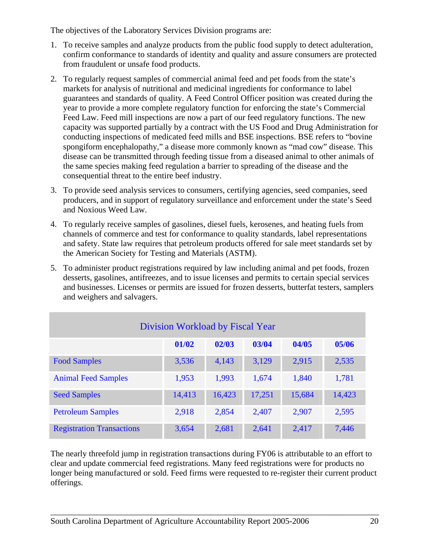The objectives of the Laboratory Services Division programs are:

- 1. To receive samples and analyze products from the public food supply to detect adulteration, confirm conformance to standards of identity and quality and assure consumers are protected from fraudulent or unsafe food products.
- 2. To regularly request samples of commercial animal feed and pet foods from the state's markets for analysis of nutritional and medicinal ingredients for conformance to label guarantees and standards of quality. A Feed Control Officer position was created during the year to provide a more complete regulatory function for enforcing the state's Commercial Feed Law. Feed mill inspections are now a part of our feed regulatory functions. The new capacity was supported partially by a contract with the US Food and Drug Administration for conducting inspections of medicated feed mills and BSE inspections. BSE refers to "bovine spongiform encephalopathy," a disease more commonly known as "mad cow" disease. This disease can be transmitted through feeding tissue from a diseased animal to other animals of the same species making feed regulation a barrier to spreading of the disease and the consequential threat to the entire beef industry.
- 3. To provide seed analysis services to consumers, certifying agencies, seed companies, seed producers, and in support of regulatory surveillance and enforcement under the state's Seed and Noxious Weed Law.
- 4. To regularly receive samples of gasolines, diesel fuels, kerosenes, and heating fuels from channels of commerce and test for conformance to quality standards, label representations and safety. State law requires that petroleum products offered for sale meet standards set by the American Society for Testing and Materials (ASTM).
- 5. To administer product registrations required by law including animal and pet foods, frozen desserts, gasolines, antifreezes, and to issue licenses and permits to certain special services and businesses. Licenses or permits are issued for frozen desserts, butterfat testers, samplers and weighers and salvagers.

| Division Workload by Fiscal Year          |        |        |        |        |        |  |  |  |
|-------------------------------------------|--------|--------|--------|--------|--------|--|--|--|
| 01/02<br>02/03<br>03/04<br>04/05<br>05/06 |        |        |        |        |        |  |  |  |
| <b>Food Samples</b>                       | 3,536  | 4,143  | 3,129  | 2,915  | 2,535  |  |  |  |
| <b>Animal Feed Samples</b>                | 1,953  | 1,993  | 1,674  | 1,840  | 1,781  |  |  |  |
| <b>Seed Samples</b>                       | 14,413 | 16,423 | 17,251 | 15,684 | 14,423 |  |  |  |
| <b>Petroleum Samples</b>                  | 2,918  | 2,854  | 2,407  | 2,907  | 2,595  |  |  |  |
| <b>Registration Transactions</b>          | 3,654  | 2,681  | 2,641  | 2,417  | 7,446  |  |  |  |

The nearly threefold jump in registration transactions during FY06 is attributable to an effort to clear and update commercial feed registrations. Many feed registrations were for products no longer being manufactured or sold. Feed firms were requested to re-register their current product offerings.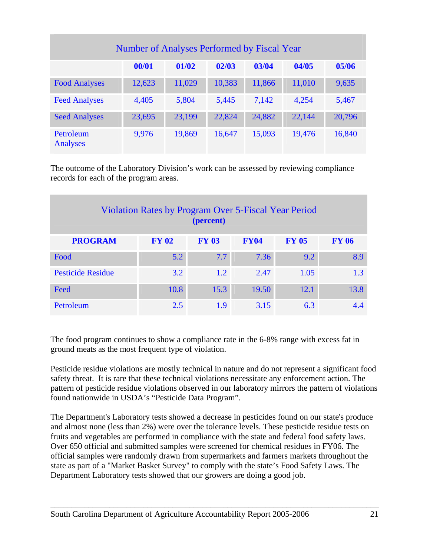| Number of Analyses Performed by Fiscal Year |        |        |        |        |        |        |  |  |
|---------------------------------------------|--------|--------|--------|--------|--------|--------|--|--|
|                                             | 00/01  | 01/02  | 02/03  | 03/04  | 04/05  | 05/06  |  |  |
| <b>Food Analyses</b>                        | 12,623 | 11,029 | 10,383 | 11,866 | 11,010 | 9,635  |  |  |
| <b>Feed Analyses</b>                        | 4,405  | 5,804  | 5,445  | 7,142  | 4,254  | 5,467  |  |  |
| <b>Seed Analyses</b>                        | 23,695 | 23,199 | 22,824 | 24,882 | 22,144 | 20,796 |  |  |
| Petroleum<br>Analyses                       | 9,976  | 19,869 | 16,647 | 15,093 | 19,476 | 16,840 |  |  |

The outcome of the Laboratory Division's work can be assessed by reviewing compliance records for each of the program areas.

| <b>Violation Rates by Program Over 5-Fiscal Year Period</b><br>(percent) |              |              |             |              |              |  |  |  |
|--------------------------------------------------------------------------|--------------|--------------|-------------|--------------|--------------|--|--|--|
| <b>PROGRAM</b>                                                           | <b>FY 02</b> | <b>FY 03</b> | <b>FY04</b> | <b>FY 05</b> | <b>FY 06</b> |  |  |  |
| Food                                                                     | 5.2          | 7.7          | 7.36        | 9.2          | 8.9          |  |  |  |
| <b>Pesticide Residue</b>                                                 | 3.2          | 1.2          | 2.47        | 1.05         | 1.3          |  |  |  |
| Feed                                                                     | 10.8         | 15.3         | 19.50       | 12.1         | 13.8         |  |  |  |
| Petroleum                                                                | 2.5          | 1.9          | 3.15        | 6.3          | 4.4          |  |  |  |

The food program continues to show a compliance rate in the 6-8% range with excess fat in ground meats as the most frequent type of violation.

Pesticide residue violations are mostly technical in nature and do not represent a significant food safety threat. It is rare that these technical violations necessitate any enforcement action. The pattern of pesticide residue violations observed in our laboratory mirrors the pattern of violations found nationwide in USDA's "Pesticide Data Program".

The Department's Laboratory tests showed a decrease in pesticides found on our state's produce and almost none (less than 2%) were over the tolerance levels. These pesticide residue tests on fruits and vegetables are performed in compliance with the state and federal food safety laws. Over 650 official and submitted samples were screened for chemical residues in FY06. The official samples were randomly drawn from supermarkets and farmers markets throughout the state as part of a "Market Basket Survey" to comply with the state's Food Safety Laws. The Department Laboratory tests showed that our growers are doing a good job.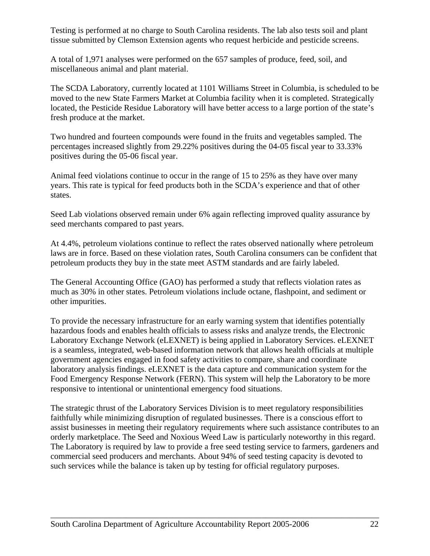Testing is performed at no charge to South Carolina residents. The lab also tests soil and plant tissue submitted by Clemson Extension agents who request herbicide and pesticide screens.

A total of 1,971 analyses were performed on the 657 samples of produce, feed, soil, and miscellaneous animal and plant material.

The SCDA Laboratory, currently located at 1101 Williams Street in Columbia, is scheduled to be moved to the new State Farmers Market at Columbia facility when it is completed. Strategically located, the Pesticide Residue Laboratory will have better access to a large portion of the state's fresh produce at the market.

Two hundred and fourteen compounds were found in the fruits and vegetables sampled. The percentages increased slightly from 29.22% positives during the 04-05 fiscal year to 33.33% positives during the 05-06 fiscal year.

Animal feed violations continue to occur in the range of 15 to 25% as they have over many years. This rate is typical for feed products both in the SCDA's experience and that of other states.

Seed Lab violations observed remain under 6% again reflecting improved quality assurance by seed merchants compared to past years.

At 4.4%, petroleum violations continue to reflect the rates observed nationally where petroleum laws are in force. Based on these violation rates, South Carolina consumers can be confident that petroleum products they buy in the state meet ASTM standards and are fairly labeled.

The General Accounting Office (GAO) has performed a study that reflects violation rates as much as 30% in other states. Petroleum violations include octane, flashpoint, and sediment or other impurities.

To provide the necessary infrastructure for an early warning system that identifies potentially hazardous foods and enables health officials to assess risks and analyze trends, the Electronic Laboratory Exchange Network (eLEXNET) is being applied in Laboratory Services. eLEXNET is a seamless, integrated, web-based information network that allows health officials at multiple government agencies engaged in food safety activities to compare, share and coordinate laboratory analysis findings. eLEXNET is the data capture and communication system for the Food Emergency Response Network (FERN). This system will help the Laboratory to be more responsive to intentional or unintentional emergency food situations.

The strategic thrust of the Laboratory Services Division is to meet regulatory responsibilities faithfully while minimizing disruption of regulated businesses. There is a conscious effort to assist businesses in meeting their regulatory requirements where such assistance contributes to an orderly marketplace. The Seed and Noxious Weed Law is particularly noteworthy in this regard. The Laboratory is required by law to provide a free seed testing service to farmers, gardeners and commercial seed producers and merchants. About 94% of seed testing capacity is devoted to such services while the balance is taken up by testing for official regulatory purposes.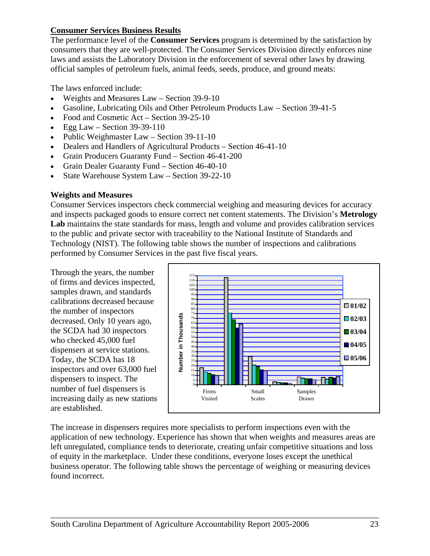#### **Consumer Services Business Results**

The performance level of the **Consumer Services** program is determined by the satisfaction by consumers that they are well-protected. The Consumer Services Division directly enforces nine laws and assists the Laboratory Division in the enforcement of several other laws by drawing official samples of petroleum fuels, animal feeds, seeds, produce, and ground meats:

The laws enforced include:

- Weights and Measures Law Section 39-9-10
- Gasoline, Lubricating Oils and Other Petroleum Products Law Section 39-41-5
- Food and Cosmetic Act Section 39-25-10
- Egg Law Section  $39-39-110$
- Public Weighmaster Law Section 39-11-10
- Dealers and Handlers of Agricultural Products Section 46-41-10
- Grain Producers Guaranty Fund Section 46-41-200
- Grain Dealer Guaranty Fund Section 46-40-10
- State Warehouse System Law Section 39-22-10

#### **Weights and Measures**

Consumer Services inspectors check commercial weighing and measuring devices for accuracy and inspects packaged goods to ensure correct net content statements. The Division's **Metrology Lab** maintains the state standards for mass, length and volume and provides calibration services to the public and private sector with traceability to the National Institute of Standards and Technology (NIST). The following table shows the number of inspections and calibrations performed by Consumer Services in the past five fiscal years.

Through the years, the number of firms and devices inspected, samples drawn, and standards calibrations decreased because the number of inspectors decreased. Only 10 years ago, the SCDA had 30 inspectors who checked 45,000 fuel dispensers at service stations. Today, the SCDA has 18 inspectors and over 63,000 fuel dispensers to inspect. The number of fuel dispensers is increasing daily as new stations are established.



The increase in dispensers requires more specialists to perform inspections even with the application of new technology. Experience has shown that when weights and measures areas are left unregulated, compliance tends to deteriorate, creating unfair competitive situations and loss of equity in the marketplace. Under these conditions, everyone loses except the unethical business operator. The following table shows the percentage of weighing or measuring devices found incorrect.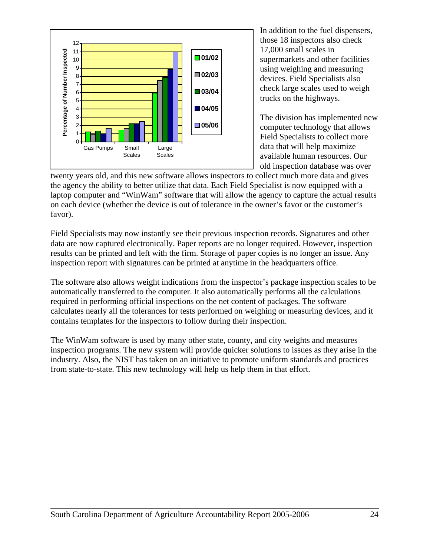

In addition to the fuel dispensers, those 18 inspectors also check 17,000 small scales in supermarkets and other facilities using weighing and measuring devices. Field Specialists also check large scales used to weigh trucks on the highways.

The division has implemented new computer technology that allows Field Specialists to collect more data that will help maximize available human resources. Our old inspection database was over

twenty years old, and this new software allows inspectors to collect much more data and gives the agency the ability to better utilize that data. Each Field Specialist is now equipped with a laptop computer and "WinWam" software that will allow the agency to capture the actual results on each device (whether the device is out of tolerance in the owner's favor or the customer's favor).

Field Specialists may now instantly see their previous inspection records. Signatures and other data are now captured electronically. Paper reports are no longer required. However, inspection results can be printed and left with the firm. Storage of paper copies is no longer an issue. Any inspection report with signatures can be printed at anytime in the headquarters office.

The software also allows weight indications from the inspector's package inspection scales to be automatically transferred to the computer. It also automatically performs all the calculations required in performing official inspections on the net content of packages. The software calculates nearly all the tolerances for tests performed on weighing or measuring devices, and it contains templates for the inspectors to follow during their inspection.

The WinWam software is used by many other state, county, and city weights and measures inspection programs. The new system will provide quicker solutions to issues as they arise in the industry. Also, the NIST has taken on an initiative to promote uniform standards and practices from state-to-state. This new technology will help us help them in that effort.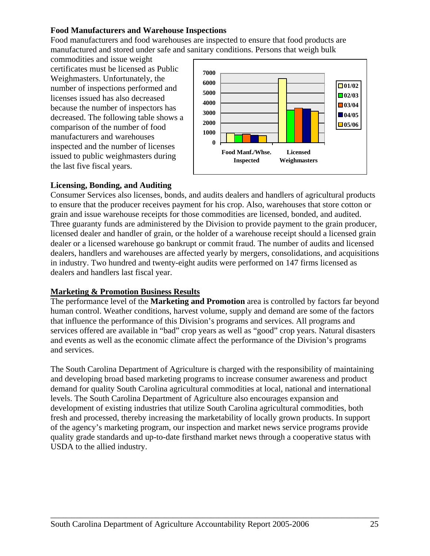#### **Food Manufacturers and Warehouse Inspections**

Food manufacturers and food warehouses are inspected to ensure that food products are manufactured and stored under safe and sanitary conditions. Persons that weigh bulk

commodities and issue weight certificates must be licensed as Public Weighmasters. Unfortunately, the number of inspections performed and licenses issued has also decreased because the number of inspectors has decreased. The following table shows a comparison of the number of food manufacturers and warehouses inspected and the number of licenses issued to public weighmasters during the last five fiscal years.



#### **Licensing, Bonding, and Auditing**

Consumer Services also licenses, bonds, and audits dealers and handlers of agricultural products to ensure that the producer receives payment for his crop. Also, warehouses that store cotton or grain and issue warehouse receipts for those commodities are licensed, bonded, and audited. Three guaranty funds are administered by the Division to provide payment to the grain producer, licensed dealer and handler of grain, or the holder of a warehouse receipt should a licensed grain dealer or a licensed warehouse go bankrupt or commit fraud. The number of audits and licensed dealers, handlers and warehouses are affected yearly by mergers, consolidations, and acquisitions in industry. Two hundred and twenty-eight audits were performed on 147 firms licensed as dealers and handlers last fiscal year.

#### **Marketing & Promotion Business Results**

The performance level of the **Marketing and Promotion** area is controlled by factors far beyond human control. Weather conditions, harvest volume, supply and demand are some of the factors that influence the performance of this Division's programs and services. All programs and services offered are available in "bad" crop years as well as "good" crop years. Natural disasters and events as well as the economic climate affect the performance of the Division's programs and services.

The South Carolina Department of Agriculture is charged with the responsibility of maintaining and developing broad based marketing programs to increase consumer awareness and product demand for quality South Carolina agricultural commodities at local, national and international levels. The South Carolina Department of Agriculture also encourages expansion and development of existing industries that utilize South Carolina agricultural commodities, both fresh and processed, thereby increasing the marketability of locally grown products. In support of the agency's marketing program, our inspection and market news service programs provide quality grade standards and up-to-date firsthand market news through a cooperative status with USDA to the allied industry.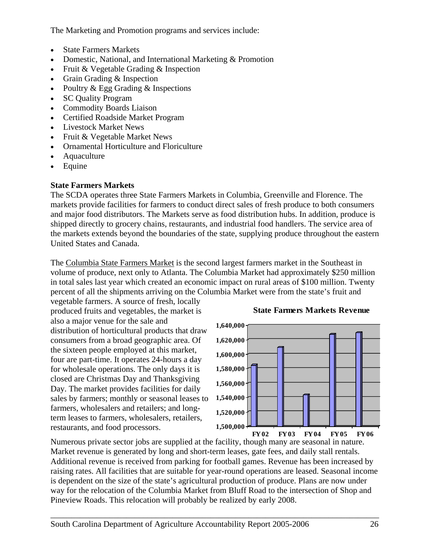The Marketing and Promotion programs and services include:

- State Farmers Markets
- Domestic, National, and International Marketing & Promotion
- Fruit & Vegetable Grading & Inspection
- Grain Grading & Inspection
- Poultry & Egg Grading & Inspections
- SC Quality Program
- Commodity Boards Liaison
- Certified Roadside Market Program
- Livestock Market News
- Fruit & Vegetable Market News
- Ornamental Horticulture and Floriculture
- Aquaculture
- Equine

## **State Farmers Markets**

The SCDA operates three State Farmers Markets in Columbia, Greenville and Florence. The markets provide facilities for farmers to conduct direct sales of fresh produce to both consumers and major food distributors. The Markets serve as food distribution hubs. In addition, produce is shipped directly to grocery chains, restaurants, and industrial food handlers. The service area of the markets extends beyond the boundaries of the state, supplying produce throughout the eastern United States and Canada.

The Columbia State Farmers Market is the second largest farmers market in the Southeast in volume of produce, next only to Atlanta. The Columbia Market had approximately \$250 million in total sales last year which created an economic impact on rural areas of \$100 million. Twenty percent of all the shipments arriving on the Columbia Market were from the state's fruit and

vegetable farmers. A source of fresh, locally produced fruits and vegetables, the market is also a major venue for the sale and distribution of horticultural products that draw consumers from a broad geographic area. Of the sixteen people employed at this market, four are part-time. It operates 24-hours a day for wholesale operations. The only days it is closed are Christmas Day and Thanksgiving Day. The market provides facilities for daily sales by farmers; monthly or seasonal leases to farmers, wholesalers and retailers; and longterm leases to farmers, wholesalers, retailers, restaurants, and food processors.



**State Farmers Markets Revenue**

Numerous private sector jobs are supplied at the facility, though many are seasonal in nature. Market revenue is generated by long and short-term leases, gate fees, and daily stall rentals. Additional revenue is received from parking for football games. Revenue has been increased by raising rates. All facilities that are suitable for year-round operations are leased. Seasonal income is dependent on the size of the state's agricultural production of produce. Plans are now under way for the relocation of the Columbia Market from Bluff Road to the intersection of Shop and Pineview Roads. This relocation will probably be realized by early 2008.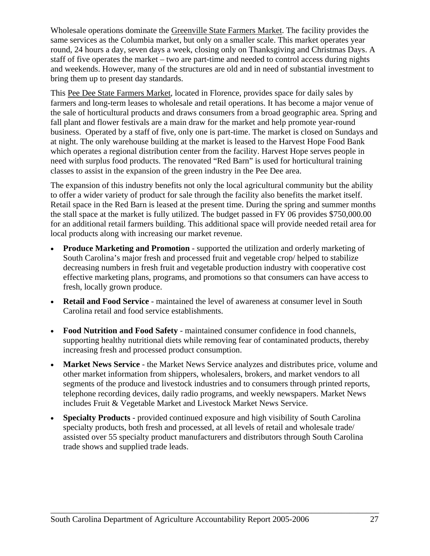Wholesale operations dominate the Greenville State Farmers Market. The facility provides the same services as the Columbia market, but only on a smaller scale. This market operates year round, 24 hours a day, seven days a week, closing only on Thanksgiving and Christmas Days. A staff of five operates the market – two are part-time and needed to control access during nights and weekends. However, many of the structures are old and in need of substantial investment to bring them up to present day standards.

This Pee Dee State Farmers Market, located in Florence, provides space for daily sales by farmers and long-term leases to wholesale and retail operations. It has become a major venue of the sale of horticultural products and draws consumers from a broad geographic area. Spring and fall plant and flower festivals are a main draw for the market and help promote year-round business. Operated by a staff of five, only one is part-time. The market is closed on Sundays and at night. The only warehouse building at the market is leased to the Harvest Hope Food Bank which operates a regional distribution center from the facility. Harvest Hope serves people in need with surplus food products. The renovated "Red Barn" is used for horticultural training classes to assist in the expansion of the green industry in the Pee Dee area.

The expansion of this industry benefits not only the local agricultural community but the ability to offer a wider variety of product for sale through the facility also benefits the market itself. Retail space in the Red Barn is leased at the present time. During the spring and summer months the stall space at the market is fully utilized. The budget passed in FY 06 provides \$750,000.00 for an additional retail farmers building. This additional space will provide needed retail area for local products along with increasing our market revenue.

- **Produce Marketing and Promotion** supported the utilization and orderly marketing of South Carolina's major fresh and processed fruit and vegetable crop/ helped to stabilize decreasing numbers in fresh fruit and vegetable production industry with cooperative cost effective marketing plans, programs, and promotions so that consumers can have access to fresh, locally grown produce.
- **Retail and Food Service** maintained the level of awareness at consumer level in South Carolina retail and food service establishments.
- **Food Nutrition and Food Safety** maintained consumer confidence in food channels, supporting healthy nutritional diets while removing fear of contaminated products, thereby increasing fresh and processed product consumption.
- **Market News Service** the Market News Service analyzes and distributes price, volume and other market information from shippers, wholesalers, brokers, and market vendors to all segments of the produce and livestock industries and to consumers through printed reports, telephone recording devices, daily radio programs, and weekly newspapers. Market News includes Fruit & Vegetable Market and Livestock Market News Service.
- **Specialty Products** provided continued exposure and high visibility of South Carolina specialty products, both fresh and processed, at all levels of retail and wholesale trade/ assisted over 55 specialty product manufacturers and distributors through South Carolina trade shows and supplied trade leads.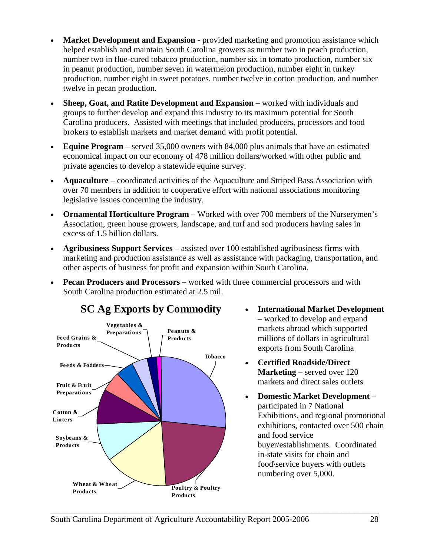- **Market Development and Expansion provided marketing and promotion assistance which** helped establish and maintain South Carolina growers as number two in peach production, number two in flue-cured tobacco production, number six in tomato production, number six in peanut production, number seven in watermelon production, number eight in turkey production, number eight in sweet potatoes, number twelve in cotton production, and number twelve in pecan production.
- **Sheep, Goat, and Ratite Development and Expansion** worked with individuals and groups to further develop and expand this industry to its maximum potential for South Carolina producers. Assisted with meetings that included producers, processors and food brokers to establish markets and market demand with profit potential.
- **Equine Program** served 35,000 owners with 84,000 plus animals that have an estimated economical impact on our economy of 478 million dollars/worked with other public and private agencies to develop a statewide equine survey.
- **Aquaculture** coordinated activities of the Aquaculture and Striped Bass Association with over 70 members in addition to cooperative effort with national associations monitoring legislative issues concerning the industry.
- **Ornamental Horticulture Program** Worked with over 700 members of the Nurserymen's Association, green house growers, landscape, and turf and sod producers having sales in excess of 1.5 billion dollars.
- **Agribusiness Support Services** assisted over 100 established agribusiness firms with marketing and production assistance as well as assistance with packaging, transportation, and other aspects of business for profit and expansion within South Carolina.
- **Pecan Producers and Processors** worked with three commercial processors and with South Carolina production estimated at 2.5 mil.



- **International Market Development** – worked to develop and expand markets abroad which supported millions of dollars in agricultural exports from South Carolina
- **Certified Roadside/Direct Marketing** – served over 120 markets and direct sales outlets
- **Domestic Market Development** participated in 7 National Exhibitions, and regional promotional exhibitions, contacted over 500 chain and food service buyer/establishments. Coordinated in-state visits for chain and food\service buyers with outlets numbering over 5,000.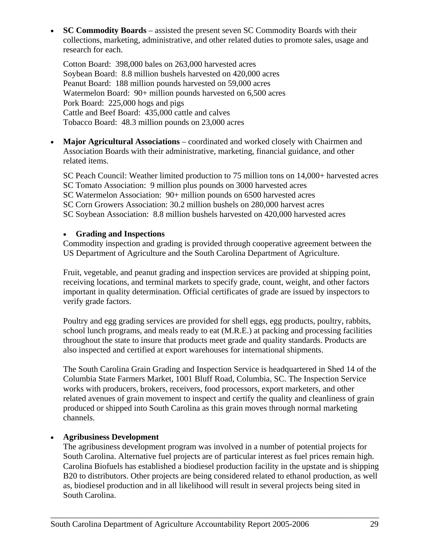• **SC Commodity Boards** – assisted the present seven SC Commodity Boards with their collections, marketing, administrative, and other related duties to promote sales, usage and research for each.

Cotton Board: 398,000 bales on 263,000 harvested acres Soybean Board: 8.8 million bushels harvested on 420,000 acres Peanut Board: 188 million pounds harvested on 59,000 acres Watermelon Board: 90+ million pounds harvested on 6,500 acres Pork Board: 225,000 hogs and pigs Cattle and Beef Board: 435,000 cattle and calves Tobacco Board: 48.3 million pounds on 23,000 acres

• **Major Agricultural Associations** – coordinated and worked closely with Chairmen and Association Boards with their administrative, marketing, financial guidance, and other related items.

SC Peach Council: Weather limited production to 75 million tons on 14,000+ harvested acres SC Tomato Association: 9 million plus pounds on 3000 harvested acres SC Watermelon Association: 90+ million pounds on 6500 harvested acres SC Corn Growers Association: 30.2 million bushels on 280,000 harvest acres SC Soybean Association: 8.8 million bushels harvested on 420,000 harvested acres

#### • **Grading and Inspections**

Commodity inspection and grading is provided through cooperative agreement between the US Department of Agriculture and the South Carolina Department of Agriculture.

Fruit, vegetable, and peanut grading and inspection services are provided at shipping point, receiving locations, and terminal markets to specify grade, count, weight, and other factors important in quality determination. Official certificates of grade are issued by inspectors to verify grade factors.

Poultry and egg grading services are provided for shell eggs, egg products, poultry, rabbits, school lunch programs, and meals ready to eat (M.R.E.) at packing and processing facilities throughout the state to insure that products meet grade and quality standards. Products are also inspected and certified at export warehouses for international shipments.

The South Carolina Grain Grading and Inspection Service is headquartered in Shed 14 of the Columbia State Farmers Market, 1001 Bluff Road, Columbia, SC. The Inspection Service works with producers, brokers, receivers, food processors, export marketers, and other related avenues of grain movement to inspect and certify the quality and cleanliness of grain produced or shipped into South Carolina as this grain moves through normal marketing channels.

## • **Agribusiness Development**

The agribusiness development program was involved in a number of potential projects for South Carolina. Alternative fuel projects are of particular interest as fuel prices remain high. Carolina Biofuels has established a biodiesel production facility in the upstate and is shipping B20 to distributors. Other projects are being considered related to ethanol production, as well as, biodiesel production and in all likelihood will result in several projects being sited in South Carolina.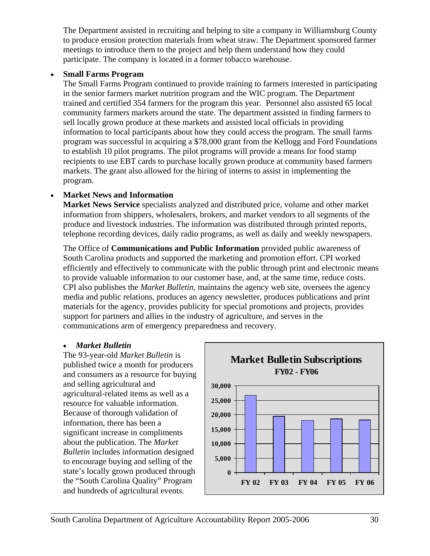The Department assisted in recruiting and helping to site a company in Williamsburg County to produce erosion protection materials from wheat straw. The Department sponsored farmer meetings to introduce them to the project and help them understand how they could participate. The company is located in a former tobacco warehouse.

## • **Small Farms Program**

The Small Farms Program continued to provide training to farmers interested in participating in the senior farmers market nutrition program and the WIC program. The Department trained and certified 354 farmers for the program this year. Personnel also assisted 65 local community farmers markets around the state. The department assisted in finding farmers to sell locally grown produce at these markets and assisted local officials in providing information to local participants about how they could access the program. The small farms program was successful in acquiring a \$78,000 grant from the Kellogg and Ford Foundations to establish 10 pilot programs. The pilot programs will provide a means for food stamp recipients to use EBT cards to purchase locally grown produce at community based farmers markets. The grant also allowed for the hiring of interns to assist in implementing the program.

## • **Market News and Information**

**Market News Service** specialists analyzed and distributed price, volume and other market information from shippers, wholesalers, brokers, and market vendors to all segments of the produce and livestock industries. The information was distributed through printed reports, telephone recording devices, daily radio programs, as well as daily and weekly newspapers.

The Office of **Communications and Public Information** provided public awareness of South Carolina products and supported the marketing and promotion effort. CPI worked efficiently and effectively to communicate with the public through print and electronic means to provide valuable information to our customer base, and, at the same time, reduce costs. CPI also publishes the *Market Bulletin*, maintains the agency web site, oversees the agency media and public relations, produces an agency newsletter, produces publications and print materials for the agency, provides publicity for special promotions and projects, provides support for partners and allies in the industry of agriculture, and serves in the communications arm of emergency preparedness and recovery.

## • *Market Bulletin*

The 93-year-old *Market Bulletin* is published twice a month for producers and consumers as a resource for buying and selling agricultural and agricultural-related items as well as a resource for valuable information. Because of thorough validation of information, there has been a significant increase in compliments about the publication. The *Market Bulletin* includes information designed to encourage buying and selling of the state's locally grown produced through the "South Carolina Quality" Program and hundreds of agricultural events.

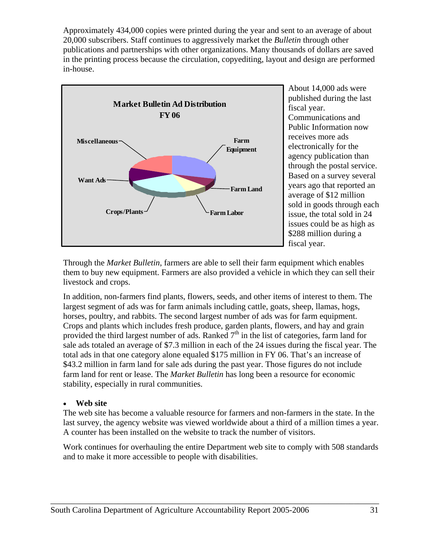Approximately 434,000 copies were printed during the year and sent to an average of about 20,000 subscribers. Staff continues to aggressively market the *Bulletin* through other publications and partnerships with other organizations. Many thousands of dollars are saved in the printing process because the circulation, copyediting, layout and design are performed in-house.



About 14,000 ads were published during the last fiscal year. Communications and Public Information now receives more ads electronically for the agency publication than through the postal service. Based on a survey several years ago that reported an average of \$12 million sold in goods through each issue, the total sold in 24 issues could be as high as \$288 million during a fiscal year.

Through the *Market Bulletin*, farmers are able to sell their farm equipment which enables them to buy new equipment. Farmers are also provided a vehicle in which they can sell their livestock and crops.

In addition, non-farmers find plants, flowers, seeds, and other items of interest to them. The largest segment of ads was for farm animals including cattle, goats, sheep, llamas, hogs, horses, poultry, and rabbits. The second largest number of ads was for farm equipment. Crops and plants which includes fresh produce, garden plants, flowers, and hay and grain provided the third largest number of ads. Ranked  $7<sup>th</sup>$  in the list of categories, farm land for sale ads totaled an average of \$7.3 million in each of the 24 issues during the fiscal year. The total ads in that one category alone equaled \$175 million in FY 06. That's an increase of \$43.2 million in farm land for sale ads during the past year. Those figures do not include farm land for rent or lease. The *Market Bulletin* has long been a resource for economic stability, especially in rural communities.

#### • **Web site**

The web site has become a valuable resource for farmers and non-farmers in the state. In the last survey, the agency website was viewed worldwide about a third of a million times a year. A counter has been installed on the website to track the number of visitors.

Work continues for overhauling the entire Department web site to comply with 508 standards and to make it more accessible to people with disabilities.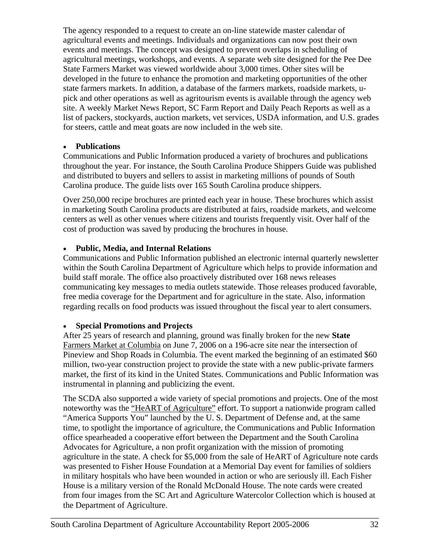The agency responded to a request to create an on-line statewide master calendar of agricultural events and meetings. Individuals and organizations can now post their own events and meetings. The concept was designed to prevent overlaps in scheduling of agricultural meetings, workshops, and events. A separate web site designed for the Pee Dee State Farmers Market was viewed worldwide about 3,000 times. Other sites will be developed in the future to enhance the promotion and marketing opportunities of the other state farmers markets. In addition, a database of the farmers markets, roadside markets, upick and other operations as well as agritourism events is available through the agency web site. A weekly Market News Report, SC Farm Report and Daily Peach Reports as well as a list of packers, stockyards, auction markets, vet services, USDA information, and U.S. grades for steers, cattle and meat goats are now included in the web site.

#### • **Publications**

Communications and Public Information produced a variety of brochures and publications throughout the year. For instance, the South Carolina Produce Shippers Guide was published and distributed to buyers and sellers to assist in marketing millions of pounds of South Carolina produce. The guide lists over 165 South Carolina produce shippers.

Over 250,000 recipe brochures are printed each year in house. These brochures which assist in marketing South Carolina products are distributed at fairs, roadside markets, and welcome centers as well as other venues where citizens and tourists frequently visit. Over half of the cost of production was saved by producing the brochures in house.

#### • **Public, Media, and Internal Relations**

Communications and Public Information published an electronic internal quarterly newsletter within the South Carolina Department of Agriculture which helps to provide information and build staff morale. The office also proactively distributed over 168 news releases communicating key messages to media outlets statewide. Those releases produced favorable, free media coverage for the Department and for agriculture in the state. Also, information regarding recalls on food products was issued throughout the fiscal year to alert consumers.

## • **Special Promotions and Projects**

After 25 years of research and planning, ground was finally broken for the new **State**  Farmers Market at Columbia on June 7, 2006 on a 196-acre site near the intersection of Pineview and Shop Roads in Columbia. The event marked the beginning of an estimated \$60 million, two-year construction project to provide the state with a new public-private farmers market, the first of its kind in the United States. Communications and Public Information was instrumental in planning and publicizing the event.

The SCDA also supported a wide variety of special promotions and projects. One of the most noteworthy was the "HeART of Agriculture" effort. To support a nationwide program called "America Supports You" launched by the U. S. Department of Defense and, at the same time, to spotlight the importance of agriculture, the Communications and Public Information office spearheaded a cooperative effort between the Department and the South Carolina Advocates for Agriculture, a non profit organization with the mission of promoting agriculture in the state. A check for \$5,000 from the sale of HeART of Agriculture note cards was presented to Fisher House Foundation at a Memorial Day event for families of soldiers in military hospitals who have been wounded in action or who are seriously ill. Each Fisher House is a military version of the Ronald McDonald House. The note cards were created from four images from the SC Art and Agriculture Watercolor Collection which is housed at the Department of Agriculture.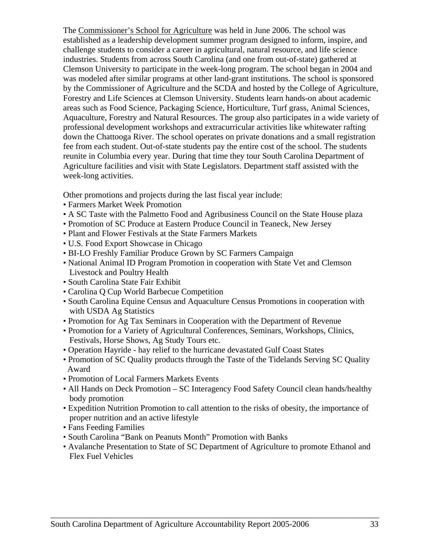The Commissioner's School for Agriculture was held in June 2006. The school was established as a leadership development summer program designed to inform, inspire, and challenge students to consider a career in agricultural, natural resource, and life science industries. Students from across South Carolina (and one from out-of-state) gathered at Clemson University to participate in the week-long program. The school began in 2004 and was modeled after similar programs at other land-grant institutions. The school is sponsored by the Commissioner of Agriculture and the SCDA and hosted by the College of Agriculture, Forestry and Life Sciences at Clemson University. Students learn hands-on about academic areas such as Food Science, Packaging Science, Horticulture, Turf grass, Animal Sciences, Aquaculture, Forestry and Natural Resources. The group also participates in a wide variety of professional development workshops and extracurricular activities like whitewater rafting down the Chattooga River. The school operates on private donations and a small registration fee from each student. Out-of-state students pay the entire cost of the school. The students reunite in Columbia every year. During that time they tour South Carolina Department of Agriculture facilities and visit with State Legislators. Department staff assisted with the week-long activities.

Other promotions and projects during the last fiscal year include:

- Farmers Market Week Promotion
- A SC Taste with the Palmetto Food and Agribusiness Council on the State House plaza
- Promotion of SC Produce at Eastern Produce Council in Teaneck, New Jersey
- Plant and Flower Festivals at the State Farmers Markets
- U.S. Food Export Showcase in Chicago
- BI-LO Freshly Familiar Produce Grown by SC Farmers Campaign
- National Animal ID Program Promotion in cooperation with State Vet and Clemson Livestock and Poultry Health
- South Carolina State Fair Exhibit
- Carolina Q Cup World Barbecue Competition
- South Carolina Equine Census and Aquaculture Census Promotions in cooperation with with USDA Ag Statistics
- Promotion for Ag Tax Seminars in Cooperation with the Department of Revenue
- Promotion for a Variety of Agricultural Conferences, Seminars, Workshops, Clinics, Festivals, Horse Shows, Ag Study Tours etc.
- Operation Hayride hay relief to the hurricane devastated Gulf Coast States
- Promotion of SC Quality products through the Taste of the Tidelands Serving SC Quality Award
- Promotion of Local Farmers Markets Events
- All Hands on Deck Promotion SC Interagency Food Safety Council clean hands/healthy body promotion
- Expedition Nutrition Promotion to call attention to the risks of obesity, the importance of proper nutrition and an active lifestyle
- Fans Feeding Families
- South Carolina "Bank on Peanuts Month" Promotion with Banks
- Avalanche Presentation to State of SC Department of Agriculture to promote Ethanol and Flex Fuel Vehicles